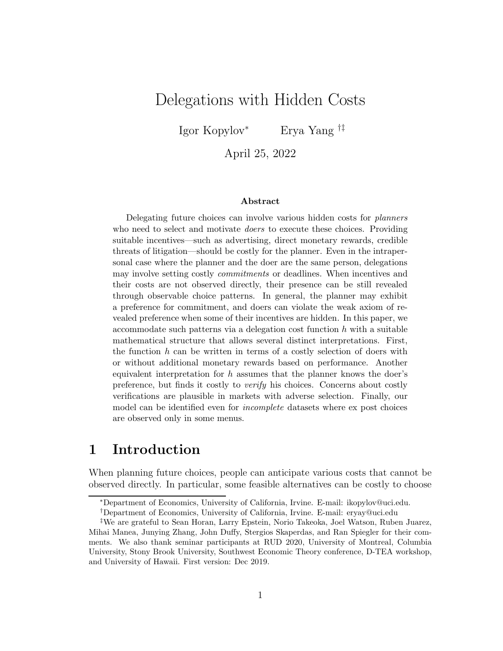# Delegations with Hidden Costs

Igor Kopylov<sup>∗</sup> Erya Yang †‡

April 25, 2022

#### Abstract

Delegating future choices can involve various hidden costs for planners who need to select and motivate *doers* to execute these choices. Providing suitable incentives—such as advertising, direct monetary rewards, credible threats of litigation—should be costly for the planner. Even in the intrapersonal case where the planner and the doer are the same person, delegations may involve setting costly commitments or deadlines. When incentives and their costs are not observed directly, their presence can be still revealed through observable choice patterns. In general, the planner may exhibit a preference for commitment, and doers can violate the weak axiom of revealed preference when some of their incentives are hidden. In this paper, we accommodate such patterns via a delegation cost function  $h$  with a suitable mathematical structure that allows several distinct interpretations. First, the function  $h$  can be written in terms of a costly selection of doers with or without additional monetary rewards based on performance. Another equivalent interpretation for h assumes that the planner knows the doer's preference, but finds it costly to verify his choices. Concerns about costly verifications are plausible in markets with adverse selection. Finally, our model can be identified even for incomplete datasets where ex post choices are observed only in some menus.

## 1 Introduction

When planning future choices, people can anticipate various costs that cannot be observed directly. In particular, some feasible alternatives can be costly to choose

<sup>∗</sup>Department of Economics, University of California, Irvine. E-mail: ikopylov@uci.edu.

<sup>†</sup>Department of Economics, University of California, Irvine. E-mail: eryay@uci.edu

<sup>‡</sup>We are grateful to Sean Horan, Larry Epstein, Norio Takeoka, Joel Watson, Ruben Juarez, Mihai Manea, Junying Zhang, John Duffy, Stergios Skaperdas, and Ran Spiegler for their comments. We also thank seminar participants at RUD 2020, University of Montreal, Columbia University, Stony Brook University, Southwest Economic Theory conference, D-TEA workshop, and University of Hawaii. First version: Dec 2019.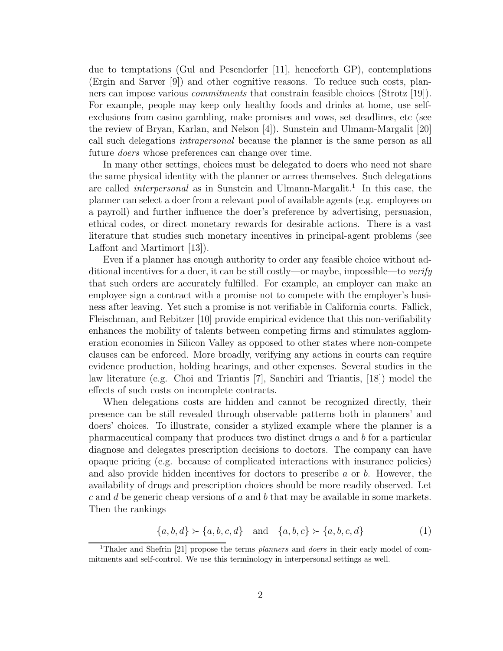due to temptations (Gul and Pesendorfer [11], henceforth GP), contemplations (Ergin and Sarver [9]) and other cognitive reasons. To reduce such costs, planners can impose various *commitments* that constrain feasible choices (Strotz [19]). For example, people may keep only healthy foods and drinks at home, use selfexclusions from casino gambling, make promises and vows, set deadlines, etc (see the review of Bryan, Karlan, and Nelson [4]). Sunstein and Ulmann-Margalit [20] call such delegations *intrapersonal* because the planner is the same person as all future *doers* whose preferences can change over time.

In many other settings, choices must be delegated to doers who need not share the same physical identity with the planner or across themselves. Such delegations are called *interpersonal* as in Sunstein and Ulmann-Margalit.<sup>1</sup> In this case, the planner can select a doer from a relevant pool of available agents (e.g. employees on a payroll) and further influence the doer's preference by advertising, persuasion, ethical codes, or direct monetary rewards for desirable actions. There is a vast literature that studies such monetary incentives in principal-agent problems (see Laffont and Martimort [13]).

Even if a planner has enough authority to order any feasible choice without additional incentives for a doer, it can be still costly—or maybe, impossible—to *verify* that such orders are accurately fulfilled. For example, an employer can make an employee sign a contract with a promise not to compete with the employer's business after leaving. Yet such a promise is not verifiable in California courts. Fallick, Fleischman, and Rebitzer [10] provide empirical evidence that this non-verifiability enhances the mobility of talents between competing firms and stimulates agglomeration economies in Silicon Valley as opposed to other states where non-compete clauses can be enforced. More broadly, verifying any actions in courts can require evidence production, holding hearings, and other expenses. Several studies in the law literature (e.g. Choi and Triantis [7], Sanchiri and Triantis, [18]) model the effects of such costs on incomplete contracts.

When delegations costs are hidden and cannot be recognized directly, their presence can be still revealed through observable patterns both in planners' and doers' choices. To illustrate, consider a stylized example where the planner is a pharmaceutical company that produces two distinct drugs a and b for a particular diagnose and delegates prescription decisions to doctors. The company can have opaque pricing (e.g. because of complicated interactions with insurance policies) and also provide hidden incentives for doctors to prescribe  $a$  or  $b$ . However, the availability of drugs and prescription choices should be more readily observed. Let  $c$  and  $d$  be generic cheap versions of  $a$  and  $b$  that may be available in some markets. Then the rankings

$$
\{a, b, d\} \succ \{a, b, c, d\} \quad \text{and} \quad \{a, b, c\} \succ \{a, b, c, d\} \tag{1}
$$

<sup>&</sup>lt;sup>1</sup>Thaler and Shefrin [21] propose the terms *planners* and *doers* in their early model of commitments and self-control. We use this terminology in interpersonal settings as well.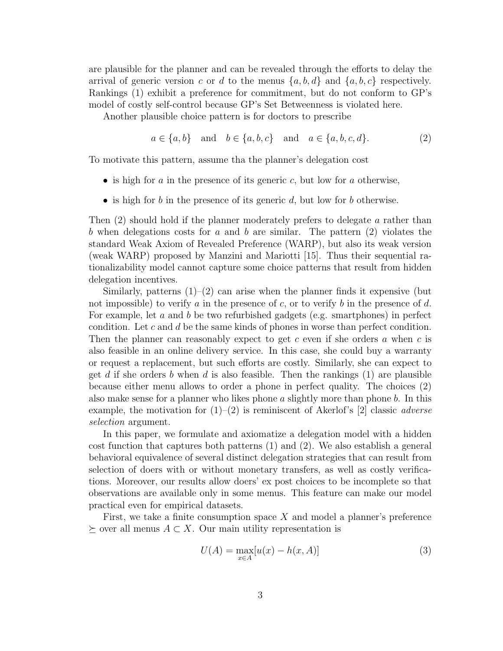are plausible for the planner and can be revealed through the efforts to delay the arrival of generic version c or d to the menus  $\{a, b, d\}$  and  $\{a, b, c\}$  respectively. Rankings (1) exhibit a preference for commitment, but do not conform to GP's model of costly self-control because GP's Set Betweenness is violated here.

Another plausible choice pattern is for doctors to prescribe

$$
a \in \{a, b\}
$$
 and  $b \in \{a, b, c\}$  and  $a \in \{a, b, c, d\}.$  (2)

To motivate this pattern, assume tha the planner's delegation cost

- is high for a in the presence of its generic c, but low for a otherwise,
- is high for b in the presence of its generic  $d$ , but low for b otherwise.

Then (2) should hold if the planner moderately prefers to delegate a rather than b when delegations costs for a and b are similar. The pattern  $(2)$  violates the standard Weak Axiom of Revealed Preference (WARP), but also its weak version (weak WARP) proposed by Manzini and Mariotti [15]. Thus their sequential rationalizability model cannot capture some choice patterns that result from hidden delegation incentives.

Similarly, patterns  $(1)$ – $(2)$  can arise when the planner finds it expensive (but not impossible) to verify a in the presence of c, or to verify b in the presence of d. For example, let a and b be two refurbished gadgets (e.g. smartphones) in perfect condition. Let c and d be the same kinds of phones in worse than perfect condition. Then the planner can reasonably expect to get  $c$  even if she orders  $a$  when  $c$  is also feasible in an online delivery service. In this case, she could buy a warranty or request a replacement, but such efforts are costly. Similarly, she can expect to get d if she orders b when d is also feasible. Then the rankings  $(1)$  are plausible because either menu allows to order a phone in perfect quality. The choices (2) also make sense for a planner who likes phone  $a$  slightly more than phone  $b$ . In this example, the motivation for (1)–(2) is reminiscent of Akerlof's [2] classic *adverse selection* argument.

In this paper, we formulate and axiomatize a delegation model with a hidden cost function that captures both patterns (1) and (2). We also establish a general behavioral equivalence of several distinct delegation strategies that can result from selection of doers with or without monetary transfers, as well as costly verifications. Moreover, our results allow doers' ex post choices to be incomplete so that observations are available only in some menus. This feature can make our model practical even for empirical datasets.

First, we take a finite consumption space  $X$  and model a planner's preference  $\succeq$  over all menus  $A \subset X$ . Our main utility representation is

$$
U(A) = \max_{x \in A} [u(x) - h(x, A)] \tag{3}
$$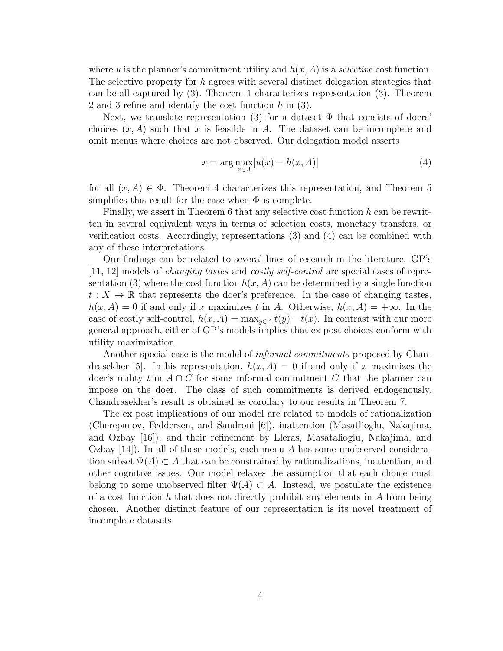where u is the planner's commitment utility and  $h(x, A)$  is a *selective* cost function. The selective property for h agrees with several distinct delegation strategies that can be all captured by (3). Theorem 1 characterizes representation (3). Theorem 2 and 3 refine and identify the cost function  $h$  in (3).

Next, we translate representation (3) for a dataset  $\Phi$  that consists of doers' choices  $(x, A)$  such that x is feasible in A. The dataset can be incomplete and omit menus where choices are not observed. Our delegation model asserts

$$
x = \arg \max_{x \in A} [u(x) - h(x, A)] \tag{4}
$$

for all  $(x, A) \in \Phi$ . Theorem 4 characterizes this representation, and Theorem 5 simplifies this result for the case when  $\Phi$  is complete.

Finally, we assert in Theorem 6 that any selective cost function h can be rewritten in several equivalent ways in terms of selection costs, monetary transfers, or verification costs. Accordingly, representations (3) and (4) can be combined with any of these interpretations.

Our findings can be related to several lines of research in the literature. GP's [11, 12] models of *changing tastes* and *costly self-control* are special cases of representation (3) where the cost function  $h(x, A)$  can be determined by a single function  $t: X \to \mathbb{R}$  that represents the doer's preference. In the case of changing tastes,  $h(x, A) = 0$  if and only if x maximizes t in A. Otherwise,  $h(x, A) = +\infty$ . In the case of costly self-control,  $h(x, A) = \max_{y \in A} t(y) - t(x)$ . In contrast with our more general approach, either of GP's models implies that ex post choices conform with utility maximization.

Another special case is the model of *informal commitments* proposed by Chandrasekher [5]. In his representation,  $h(x, A) = 0$  if and only if x maximizes the doer's utility t in  $A \cap C$  for some informal commitment C that the planner can impose on the doer. The class of such commitments is derived endogenously. Chandrasekher's result is obtained as corollary to our results in Theorem 7.

The ex post implications of our model are related to models of rationalization (Cherepanov, Feddersen, and Sandroni [6]), inattention (Masatlioglu, Nakajima, and Ozbay [16]), and their refinement by Lleras, Masatalioglu, Nakajima, and Ozbay  $[14]$ ). In all of these models, each menu A has some unobserved consideration subset  $\Psi(A) \subset A$  that can be constrained by rationalizations, inattention, and other cognitive issues. Our model relaxes the assumption that each choice must belong to some unobserved filter  $\Psi(A) \subset A$ . Instead, we postulate the existence of a cost function  $h$  that does not directly prohibit any elements in  $A$  from being chosen. Another distinct feature of our representation is its novel treatment of incomplete datasets.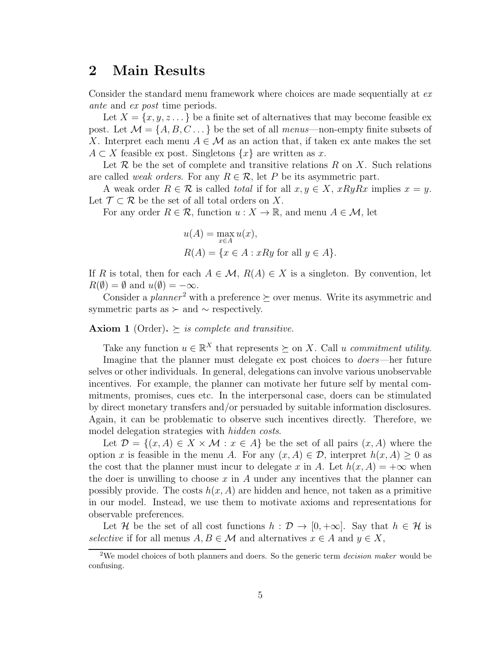## 2 Main Results

Consider the standard menu framework where choices are made sequentially at *ex ante* and *ex post* time periods.

Let  $X = \{x, y, z \dots\}$  be a finite set of alternatives that may become feasible expost. Let  $\mathcal{M} = \{A, B, C \dots \}$  be the set of all *menus*—non-empty finite subsets of X. Interpret each menu  $A \in \mathcal{M}$  as an action that, if taken ex ante makes the set  $A \subset X$  feasible ex post. Singletons  $\{x\}$  are written as x.

Let  $\mathcal R$  be the set of complete and transitive relations  $R$  on  $X$ . Such relations are called *weak orders*. For any  $R \in \mathcal{R}$ , let P be its asymmetric part.

A weak order  $R \in \mathcal{R}$  is called *total* if for all  $x, y \in X$ ,  $xRyRx$  implies  $x = y$ . Let  $\mathcal{T} \subset \mathcal{R}$  be the set of all total orders on X.

For any order  $R \in \mathcal{R}$ , function  $u : X \to \mathbb{R}$ , and menu  $A \in \mathcal{M}$ , let

$$
u(A) = \max_{x \in A} u(x),
$$
  
 
$$
R(A) = \{x \in A : xRy \text{ for all } y \in A\}.
$$

If R is total, then for each  $A \in \mathcal{M}$ ,  $R(A) \in X$  is a singleton. By convention, let  $R(\emptyset) = \emptyset$  and  $u(\emptyset) = -\infty$ .

Consider a *planner*<sup>2</sup> with a preference  $\succeq$  over menus. Write its asymmetric and symmetric parts as  $\succ$  and  $\sim$  respectively.

#### **Axiom 1** (Order).  $\succeq$  *is complete and transitive.*

Take any function  $u \in \mathbb{R}^X$  that represents  $\succeq$  on X. Call u *commitment utility*. Imagine that the planner must delegate ex post choices to *doers*—her future selves or other individuals. In general, delegations can involve various unobservable incentives. For example, the planner can motivate her future self by mental commitments, promises, cues etc. In the interpersonal case, doers can be stimulated by direct monetary transfers and/or persuaded by suitable information disclosures. Again, it can be problematic to observe such incentives directly. Therefore, we model delegation strategies with *hidden costs*.

Let  $\mathcal{D} = \{(x, A) \in X \times \mathcal{M} : x \in A\}$  be the set of all pairs  $(x, A)$  where the option x is feasible in the menu A. For any  $(x, A) \in \mathcal{D}$ , interpret  $h(x, A) \geq 0$  as the cost that the planner must incur to delegate x in A. Let  $h(x, A) = +\infty$  when the doer is unwilling to choose  $x$  in  $A$  under any incentives that the planner can possibly provide. The costs  $h(x, A)$  are hidden and hence, not taken as a primitive in our model. Instead, we use them to motivate axioms and representations for observable preferences.

Let H be the set of all cost functions  $h : \mathcal{D} \to [0, +\infty]$ . Say that  $h \in \mathcal{H}$  is *selective* if for all menus  $A, B \in \mathcal{M}$  and alternatives  $x \in A$  and  $y \in X$ ,

<sup>&</sup>lt;sup>2</sup>We model choices of both planners and doers. So the generic term *decision maker* would be confusing.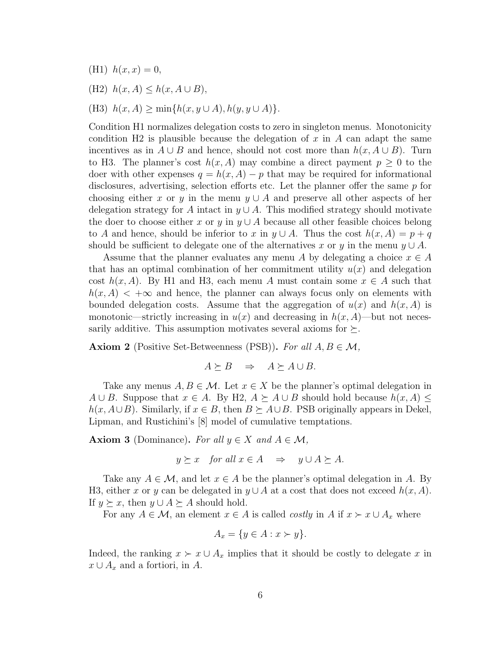- (H1)  $h(x, x) = 0$ ,
- (H2)  $h(x, A) \leq h(x, A \cup B)$ ,
- (H3)  $h(x, A) \ge \min\{h(x, y \cup A), h(y, y \cup A)\}.$

Condition H1 normalizes delegation costs to zero in singleton menus. Monotonicity condition H2 is plausible because the delegation of x in A can adapt the same incentives as in  $A \cup B$  and hence, should not cost more than  $h(x, A \cup B)$ . Turn to H3. The planner's cost  $h(x, A)$  may combine a direct payment  $p \geq 0$  to the doer with other expenses  $q = h(x, A) - p$  that may be required for informational disclosures, advertising, selection efforts etc. Let the planner offer the same p for choosing either x or y in the menu  $y \cup A$  and preserve all other aspects of her delegation strategy for A intact in  $y \cup A$ . This modified strategy should motivate the doer to choose either x or y in  $y \cup A$  because all other feasible choices belong to A and hence, should be inferior to x in  $y \cup A$ . Thus the cost  $h(x, A) = p + q$ should be sufficient to delegate one of the alternatives x or y in the menu  $y \cup A$ .

Assume that the planner evaluates any menu A by delegating a choice  $x \in A$ that has an optimal combination of her commitment utility  $u(x)$  and delegation cost  $h(x, A)$ . By H1 and H3, each menu A must contain some  $x \in A$  such that  $h(x, A)$  < + $\infty$  and hence, the planner can always focus only on elements with bounded delegation costs. Assume that the aggregation of  $u(x)$  and  $h(x, A)$  is monotonic—strictly increasing in  $u(x)$  and decreasing in  $h(x, A)$ —but not necessarily additive. This assumption motivates several axioms for  $\succeq$ .

**Axiom 2** (Positive Set-Betweenness (PSB)). For all  $A, B \in \mathcal{M}$ ,

$$
A \succeq B \quad \Rightarrow \quad A \succeq A \cup B.
$$

Take any menus  $A, B \in \mathcal{M}$ . Let  $x \in X$  be the planner's optimal delegation in A ∪ B. Suppose that  $x \in A$ . By H2,  $A \succeq A \cup B$  should hold because  $h(x, A) \leq$  $h(x, A\cup B)$ . Similarly, if  $x \in B$ , then  $B \succeq A\cup B$ . PSB originally appears in Dekel, Lipman, and Rustichini's [8] model of cumulative temptations.

**Axiom 3** (Dominance). For all  $y \in X$  and  $A \in \mathcal{M}$ ,

$$
y \succeq x
$$
 for all  $x \in A$   $\Rightarrow$   $y \cup A \succeq A$ .

Take any  $A \in \mathcal{M}$ , and let  $x \in A$  be the planner's optimal delegation in A. By H3, either x or y can be delegated in  $y \cup A$  at a cost that does not exceed  $h(x, A)$ . If  $y \succeq x$ , then  $y \cup A \succeq A$  should hold.

For any  $A \in \mathcal{M}$ , an element  $x \in A$  is called *costly* in A if  $x \succ x \cup A_x$  where

$$
A_x = \{ y \in A : x \succ y \}.
$$

Indeed, the ranking  $x \succ x \cup A_x$  implies that it should be costly to delegate x in  $x \cup A_x$  and a fortiori, in A.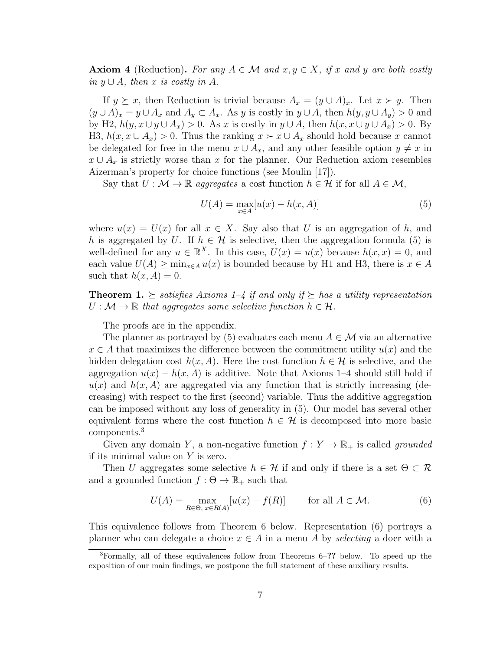**Axiom 4** (Reduction). For any  $A \in \mathcal{M}$  and  $x, y \in X$ , if x and y are both costly *in*  $y ∪ A$ *, then*  $x$  *is costly in*  $A$ *.* 

If  $y \succeq x$ , then Reduction is trivial because  $A_x = (y \cup A)_x$ . Let  $x \succ y$ . Then  $(y \cup A)_x = y \cup A_x$  and  $A_y \subset A_x$ . As y is costly in  $y \cup A$ , then  $h(y, y \cup A_y) > 0$  and by H2,  $h(y, x \cup y \cup A_x) > 0$ . As x is costly in  $y \cup A$ , then  $h(x, x \cup y \cup A_x) > 0$ . By H3,  $h(x, x \cup A_x) > 0$ . Thus the ranking  $x \succ x \cup A_x$  should hold because x cannot be delegated for free in the menu  $x \cup A_x$ , and any other feasible option  $y \neq x$  in  $x \cup A_x$  is strictly worse than x for the planner. Our Reduction axiom resembles Aizerman's property for choice functions (see Moulin [17]).

Say that  $U : \mathcal{M} \to \mathbb{R}$  *aggregates* a cost function  $h \in \mathcal{H}$  if for all  $A \in \mathcal{M}$ ,

$$
U(A) = \max_{x \in A} [u(x) - h(x, A)]
$$
 (5)

where  $u(x) = U(x)$  for all  $x \in X$ . Say also that U is an aggregation of h, and h is aggregated by U. If  $h \in \mathcal{H}$  is selective, then the aggregation formula (5) is well-defined for any  $u \in \mathbb{R}^X$ . In this case,  $U(x) = u(x)$  because  $h(x, x) = 0$ , and each value  $U(A) \ge \min_{x \in A} u(x)$  is bounded because by H1 and H3, there is  $x \in A$ such that  $h(x, A) = 0$ .

**Theorem 1.**  $\succ$  satisfies Axioms 1–4 if and only if  $\succ$  has a utility representation  $U : \mathcal{M} \to \mathbb{R}$  *that aggregates some selective function*  $h \in \mathcal{H}$ *.* 

The proofs are in the appendix.

The planner as portrayed by (5) evaluates each menu  $A \in \mathcal{M}$  via an alternative  $x \in A$  that maximizes the difference between the commitment utility  $u(x)$  and the hidden delegation cost  $h(x, A)$ . Here the cost function  $h \in \mathcal{H}$  is selective, and the aggregation  $u(x) - h(x, A)$  is additive. Note that Axioms 1–4 should still hold if  $u(x)$  and  $h(x, A)$  are aggregated via any function that is strictly increasing (decreasing) with respect to the first (second) variable. Thus the additive aggregation can be imposed without any loss of generality in (5). Our model has several other equivalent forms where the cost function  $h \in \mathcal{H}$  is decomposed into more basic components.<sup>3</sup>

Given any domain Y, a non-negative function  $f: Y \to \mathbb{R}_+$  is called *grounded* if its minimal value on  $Y$  is zero.

Then U aggregates some selective  $h \in \mathcal{H}$  if and only if there is a set  $\Theta \subset \mathcal{R}$ and a grounded function  $f : \Theta \to \mathbb{R}_+$  such that

$$
U(A) = \max_{R \in \Theta, x \in R(A)} [u(x) - f(R)] \quad \text{for all } A \in \mathcal{M}.
$$
 (6)

This equivalence follows from Theorem 6 below. Representation (6) portrays a planner who can delegate a choice  $x \in A$  in a menu A by *selecting* a doer with a

<sup>3</sup>Formally, all of these equivalences follow from Theorems 6–?? below. To speed up the exposition of our main findings, we postpone the full statement of these auxiliary results.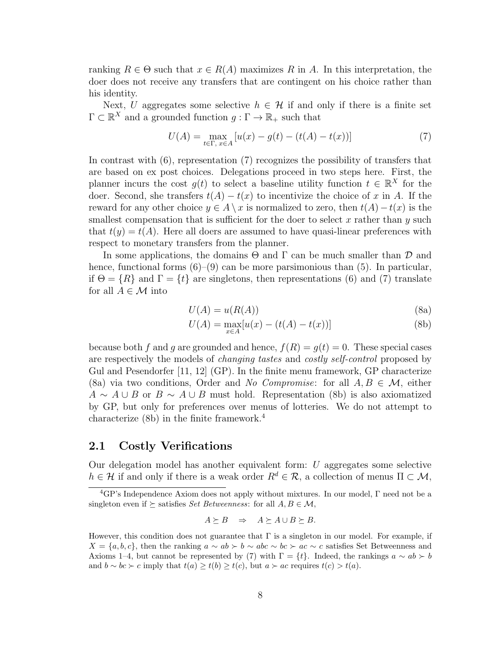ranking  $R \in \Theta$  such that  $x \in R(A)$  maximizes R in A. In this interpretation, the doer does not receive any transfers that are contingent on his choice rather than his identity.

Next, U aggregates some selective  $h \in \mathcal{H}$  if and only if there is a finite set  $\Gamma \subset \mathbb{R}^X$  and a grounded function  $g: \Gamma \to \mathbb{R}_+$  such that

$$
U(A) = \max_{t \in \Gamma, x \in A} \left[ u(x) - g(t) - (t(A) - t(x)) \right] \tag{7}
$$

In contrast with (6), representation (7) recognizes the possibility of transfers that are based on ex post choices. Delegations proceed in two steps here. First, the planner incurs the cost  $g(t)$  to select a baseline utility function  $t \in \mathbb{R}^X$  for the doer. Second, she transfers  $t(A) - t(x)$  to incentivize the choice of x in A. If the reward for any other choice  $y \in A \setminus x$  is normalized to zero, then  $t(A) - t(x)$  is the smallest compensation that is sufficient for the doer to select  $x$  rather than  $y$  such that  $t(y) = t(A)$ . Here all doers are assumed to have quasi-linear preferences with respect to monetary transfers from the planner.

In some applications, the domains  $\Theta$  and  $\Gamma$  can be much smaller than  $\mathcal D$  and hence, functional forms  $(6)$ – $(9)$  can be more parsimonious than  $(5)$ . In particular, if  $\Theta = \{R\}$  and  $\Gamma = \{t\}$  are singletons, then representations (6) and (7) translate for all  $A \in \mathcal{M}$  into

$$
U(A) = u(R(A))
$$
\n(8a)

$$
U(A) = \max_{x \in A} [u(x) - (t(A) - t(x))]
$$
 (8b)

because both f and q are grounded and hence,  $f(R) = q(t) = 0$ . These special cases are respectively the models of *changing tastes* and *costly self-control* proposed by Gul and Pesendorfer [11, 12] (GP). In the finite menu framework, GP characterize (8a) via two conditions, Order and *No Compromise*: for all  $A, B \in \mathcal{M}$ , either  $A \sim A \cup B$  or  $B \sim A \cup B$  must hold. Representation (8b) is also axiomatized by GP, but only for preferences over menus of lotteries. We do not attempt to characterize  $(8b)$  in the finite framework.<sup>4</sup>

### 2.1 Costly Verifications

Our delegation model has another equivalent form: U aggregates some selective  $h \in \mathcal{H}$  if and only if there is a weak order  $R^d \in \mathcal{R}$ , a collection of menus  $\Pi \subset \mathcal{M}$ ,

$$
A \succeq B \quad \Rightarrow \quad A \succeq A \cup B \succeq B.
$$

 ${}^{4}$ GP's Independence Axiom does not apply without mixtures. In our model,  $\Gamma$  need not be a singleton even if  $\succeq$  satisfies *Set Betweenness*: for all  $A, B \in \mathcal{M}$ ,

However, this condition does not guarantee that  $\Gamma$  is a singleton in our model. For example, if  $X = \{a, b, c\}$ , then the ranking  $a \sim ab \succ b \sim abc \sim bc \succ ac \sim c$  satisfies Set Betweenness and Axioms 1–4, but cannot be represented by (7) with  $\Gamma = \{t\}$ . Indeed, the rankings  $a \sim ab \succ b$ and  $b \sim bc \succ c$  imply that  $t(a) \geq t(b) \geq t(c)$ , but  $a \succ ac$  requires  $t(c) > t(a)$ .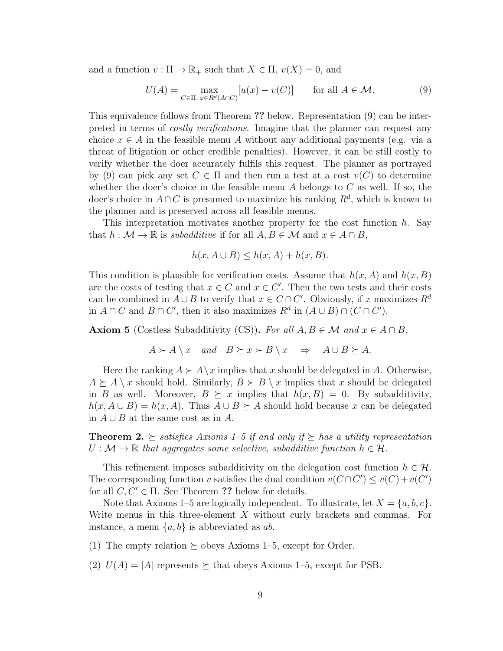and a function  $v : \Pi \to \mathbb{R}_+$  such that  $X \in \Pi$ ,  $v(X) = 0$ , and

$$
U(A) = \max_{C \in \Pi, x \in R^d(A \cap C)} [u(x) - v(C)] \quad \text{for all } A \in \mathcal{M}.
$$
 (9)

This equivalence follows from Theorem ?? below. Representation (9) can be interpreted in terms of *costly verifications*. Imagine that the planner can request any choice  $x \in A$  in the feasible menu A without any additional payments (e.g. via a threat of litigation or other credible penalties). However, it can be still costly to verify whether the doer accurately fulfils this request. The planner as portrayed by (9) can pick any set  $C \in \Pi$  and then run a test at a cost  $v(C)$  to determine whether the doer's choice in the feasible menu  $A$  belongs to  $C$  as well. If so, the doer's choice in  $A \cap C$  is presumed to maximize his ranking  $R^d$ , which is known to the planner and is preserved across all feasible menus.

This interpretation motivates another property for the cost function h. Say that  $h : \mathcal{M} \to \mathbb{R}$  is *subadditive* if for all  $A, B \in \mathcal{M}$  and  $x \in A \cap B$ ,

$$
h(x, A \cup B) \le h(x, A) + h(x, B).
$$

This condition is plausible for verification costs. Assume that  $h(x, A)$  and  $h(x, B)$ are the costs of testing that  $x \in C$  and  $x \in C'$ . Then the two tests and their costs can be combined in  $A \cup B$  to verify that  $x \in C \cap C'$ . Obviously, if x maximizes  $R^d$ in  $A \cap C$  and  $B \cap C'$ , then it also maximizes  $R^d$  in  $(A \cup B) \cap (C \cap C')$ .

Axiom 5 (Costless Subadditivity (CS)). For all  $A, B \in \mathcal{M}$  and  $x \in A \cap B$ ,

$$
A \succ A \setminus x \quad and \quad B \succeq x \succ B \setminus x \quad \Rightarrow \quad A \cup B \succeq A.
$$

Here the ranking  $A \succ A \setminus x$  implies that x should be delegated in A. Otherwise,  $A \succeq A \setminus x$  should hold. Similarly,  $B \succ B \setminus x$  implies that x should be delegated in B as well. Moreover,  $B \succeq x$  implies that  $h(x, B) = 0$ . By subadditivity,  $h(x, A \cup B) = h(x, A)$ . Thus  $A \cup B \succeq A$  should hold because x can be delegated in  $A \cup B$  at the same cost as in A.

**Theorem 2.**  $\succeq$  satisfies Axioms 1–5 if and only if  $\succeq$  has a utility representation  $U : \mathcal{M} \to \mathbb{R}$  that aggregates some selective, subadditive function  $h \in \mathcal{H}$ .

This refinement imposes subadditivity on the delegation cost function  $h \in \mathcal{H}$ . The corresponding function v satisfies the dual condition  $v(C \cap C') \leq v(C) + v(C')$ for all  $C, C' \in \Pi$ . See Theorem ?? below for details.

Note that Axioms 1–5 are logically independent. To illustrate, let  $X = \{a, b, c\}$ . Write menus in this three-element  $X$  without curly brackets and commas. For instance, a menu  $\{a, b\}$  is abbreviated as ab.

(1) The empty relation  $\succeq$  obeys Axioms 1–5, except for Order.

(2)  $U(A) = |A|$  represents  $\succeq$  that obeys Axioms 1–5, except for PSB.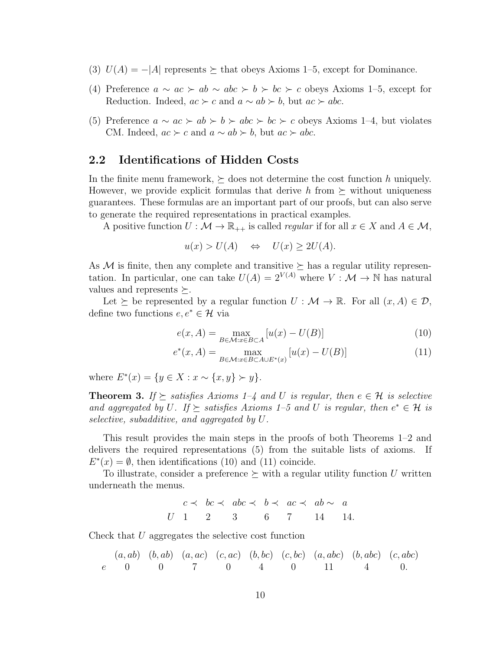- (3)  $U(A) = -|A|$  represents  $\succeq$  that obeys Axioms 1–5, except for Dominance.
- (4) Preference  $a \sim ac > ab \sim abc > b > bc > c$  obeys Axioms 1–5, except for Reduction. Indeed,  $ac \succ c$  and  $a \sim ab \succ b$ , but  $ac \succ abc$ .
- (5) Preference  $a \sim ac \succ ab \succ b \succ abc \succ bc \succ c$  obeys Axioms 1–4, but violates CM. Indeed,  $ac \succ c$  and  $a \sim ab \succ b$ , but  $ac \succ abc$ .

### 2.2 Identifications of Hidden Costs

In the finite menu framework,  $\succeq$  does not determine the cost function h uniquely. However, we provide explicit formulas that derive h from  $\succeq$  without uniqueness guarantees. These formulas are an important part of our proofs, but can also serve to generate the required representations in practical examples.

A positive function  $U : \mathcal{M} \to \mathbb{R}_{++}$  is called *regular* if for all  $x \in X$  and  $A \in \mathcal{M}$ ,

$$
u(x) > U(A) \quad \Leftrightarrow \quad U(x) \ge 2U(A).
$$

As M is finite, then any complete and transitive  $\succ$  has a regular utility representation. In particular, one can take  $U(A) = 2^{V(A)}$  where  $V : \mathcal{M} \to \mathbb{N}$  has natural values and represents  $\succeq$ .

Let  $\succeq$  be represented by a regular function  $U : \mathcal{M} \to \mathbb{R}$ . For all  $(x, A) \in \mathcal{D}$ , define two functions  $e, e^* \in \mathcal{H}$  via

$$
e(x, A) = \max_{B \in \mathcal{M}: x \in B \subset A} [u(x) - U(B)] \tag{10}
$$

$$
e^*(x, A) = \max_{B \in \mathcal{M}: x \in B \subset A \cup E^*(x)} [u(x) - U(B)] \tag{11}
$$

where  $E^*(x) = \{y \in X : x \sim \{x, y\} \succ y\}.$ 

**Theorem 3.** *If*  $\succ$  *satisfies Axioms 1–4 and U is regular, then*  $e \in \mathcal{H}$  *is selective* and aggregated by U. If  $\succeq$  satisfies Axioms 1–5 and U is regular, then  $e^* \in \mathcal{H}$  is *selective, subadditive, and aggregated by* U*.*

This result provides the main steps in the proofs of both Theorems 1–2 and delivers the required representations (5) from the suitable lists of axioms. If  $E^*(x) = \emptyset$ , then identifications (10) and (11) coincide.

To illustrate, consider a preference  $\succeq$  with a regular utility function U written underneath the menus.

$$
c \prec bc \prec abc \prec b \prec ac \prec ab \sim a
$$
  
U 1 2 3 6 7 14 14.

Check that U aggregates the selective cost function

$$
(a, ab) (b, ab) (a, ac) (c, ac) (b, bc) (c, bc) (a, abc) (b, abc) (c, abc)\ne 0 0 7 0 4 0 11 4 0.
$$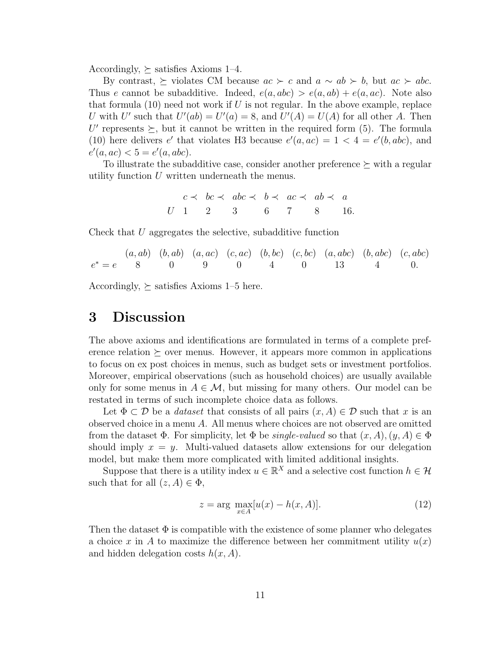Accordingly,  $\succeq$  satisfies Axioms 1–4.

By contrast,  $\succeq$  violates CM because  $ac \succ c$  and  $a \sim ab \succ b$ , but  $ac \succ abc$ . Thus e cannot be subadditive. Indeed,  $e(a, abc) > e(a, ab) + e(a, ac)$ . Note also that formula  $(10)$  need not work if U is not regular. In the above example, replace U with U' such that  $U'(ab) = U'(a) = 8$ , and  $U'(A) = U(A)$  for all other A. Then U' represents  $\succeq$ , but it cannot be written in the required form (5). The formula (10) here delivers e' that violates H3 because  $e'(a, ac) = 1 < 4 = e'(b, abc)$ , and  $e'(a, ac) < 5 = e'(a, abc).$ 

To illustrate the subadditive case, consider another preference  $\succeq$  with a regular utility function U written underneath the menus.

$$
c \prec bc \prec abc \prec b \prec ac \prec ab \prec a
$$
  
U 1 2 3 6 7 8 16.

Check that  $U$  aggregates the selective, subadditive function

$$
(a, ab) (b, ab) (a, ac) (c, ac) (b, bc) (c, bc) (a, abc) (b, abc) (c, abc)
$$
  

$$
e^* = e \qquad 8 \qquad 0 \qquad 9 \qquad 0 \qquad 4 \qquad 0 \qquad 13 \qquad 4 \qquad 0.
$$

Accordingly,  $\succeq$  satisfies Axioms 1–5 here.

## 3 Discussion

The above axioms and identifications are formulated in terms of a complete preference relation  $\succeq$  over menus. However, it appears more common in applications to focus on ex post choices in menus, such as budget sets or investment portfolios. Moreover, empirical observations (such as household choices) are usually available only for some menus in  $A \in \mathcal{M}$ , but missing for many others. Our model can be restated in terms of such incomplete choice data as follows.

Let  $\Phi \subset \mathcal{D}$  be a *dataset* that consists of all pairs  $(x, A) \in \mathcal{D}$  such that x is an observed choice in a menu A. All menus where choices are not observed are omitted from the dataset  $\Phi$ . For simplicity, let  $\Phi$  be *single-valued* so that  $(x, A), (y, A) \in \Phi$ should imply  $x = y$ . Multi-valued datasets allow extensions for our delegation model, but make them more complicated with limited additional insights.

Suppose that there is a utility index  $u \in \mathbb{R}^X$  and a selective cost function  $h \in \mathcal{H}$ such that for all  $(z, A) \in \Phi$ ,

$$
z = \arg \max_{x \in A} [u(x) - h(x, A)]. \tag{12}
$$

Then the dataset  $\Phi$  is compatible with the existence of some planner who delegates a choice x in A to maximize the difference between her commitment utility  $u(x)$ and hidden delegation costs  $h(x, A)$ .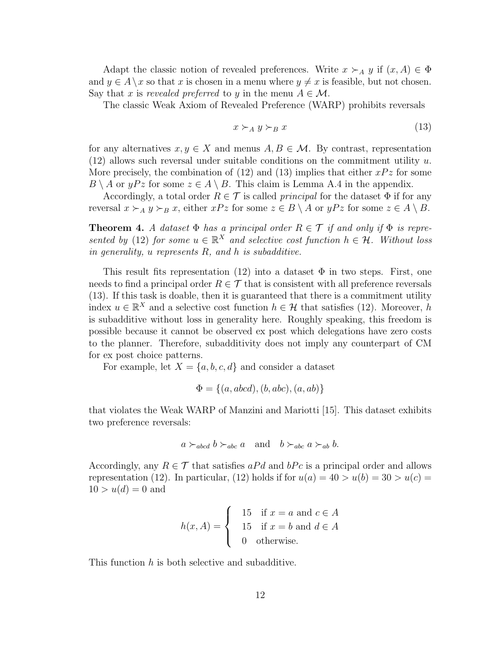Adapt the classic notion of revealed preferences. Write  $x \succ_A y$  if  $(x, A) \in \Phi$ and  $y \in A \setminus x$  so that x is chosen in a menu where  $y \neq x$  is feasible, but not chosen. Say that x is revealed preferred to y in the menu  $A \in \mathcal{M}$ .

The classic Weak Axiom of Revealed Preference (WARP) prohibits reversals

$$
x \succ_A y \succ_B x \tag{13}
$$

for any alternatives  $x, y \in X$  and menus  $A, B \in \mathcal{M}$ . By contrast, representation  $(12)$  allows such reversal under suitable conditions on the commitment utility u. More precisely, the combination of (12) and (13) implies that either  $xPz$  for some  $B \setminus A$  or  $yPz$  for some  $z \in A \setminus B$ . This claim is Lemma A.4 in the appendix.

Accordingly, a total order  $R \in \mathcal{T}$  is called *principal* for the dataset  $\Phi$  if for any reversal  $x \succ_A y \succ_B x$ , either  $xPz$  for some  $z \in B \setminus A$  or  $yPz$  for some  $z \in A \setminus B$ .

**Theorem 4.** *A dataset*  $\Phi$  *has a principal order*  $R \in \mathcal{T}$  *if and only if*  $\Phi$  *is represented by* (12) *for some*  $u \in \mathbb{R}^X$  *and selective cost function*  $h \in \mathcal{H}$ *. Without loss in generality,* u *represents* R*, and* h *is subadditive.*

This result fits representation (12) into a dataset  $\Phi$  in two steps. First, one needs to find a principal order  $R \in \mathcal{T}$  that is consistent with all preference reversals (13). If this task is doable, then it is guaranteed that there is a commitment utility index  $u \in \mathbb{R}^X$  and a selective cost function  $h \in \mathcal{H}$  that satisfies (12). Moreover, h is subadditive without loss in generality here. Roughly speaking, this freedom is possible because it cannot be observed ex post which delegations have zero costs to the planner. Therefore, subadditivity does not imply any counterpart of CM for ex post choice patterns.

For example, let  $X = \{a, b, c, d\}$  and consider a dataset

$$
\Phi = \{(a, abcd), (b, abc), (a, ab)\}
$$

that violates the Weak WARP of Manzini and Mariotti [15]. This dataset exhibits two preference reversals:

$$
a \succ_{abcd} b \succ_{abc} a
$$
 and  $b \succ_{abc} a \succ_{ab} b$ .

Accordingly, any  $R \in \mathcal{T}$  that satisfies a Pd and bPc is a principal order and allows representation (12). In particular, (12) holds if for  $u(a) = 40 > u(b) = 30 > u(c)$  $10 > u(d) = 0$  and

$$
h(x, A) = \begin{cases} 15 & \text{if } x = a \text{ and } c \in A \\ 15 & \text{if } x = b \text{ and } d \in A \\ 0 & \text{otherwise.} \end{cases}
$$

This function h is both selective and subadditive.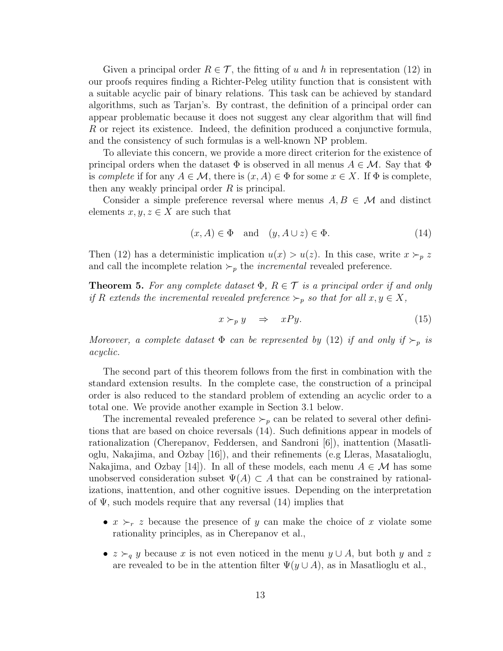Given a principal order  $R \in \mathcal{T}$ , the fitting of u and h in representation (12) in our proofs requires finding a Richter-Peleg utility function that is consistent with a suitable acyclic pair of binary relations. This task can be achieved by standard algorithms, such as Tarjan's. By contrast, the definition of a principal order can appear problematic because it does not suggest any clear algorithm that will find R or reject its existence. Indeed, the definition produced a conjunctive formula, and the consistency of such formulas is a well-known NP problem.

To alleviate this concern, we provide a more direct criterion for the existence of principal orders when the dataset  $\Phi$  is observed in all menus  $A \in \mathcal{M}$ . Say that  $\Phi$ is *complete* if for any  $A \in \mathcal{M}$ , there is  $(x, A) \in \Phi$  for some  $x \in X$ . If  $\Phi$  is complete, then any weakly principal order  $R$  is principal.

Consider a simple preference reversal where menus  $A, B \in \mathcal{M}$  and distinct elements  $x, y, z \in X$  are such that

$$
(x, A) \in \Phi \quad \text{and} \quad (y, A \cup z) \in \Phi. \tag{14}
$$

Then (12) has a deterministic implication  $u(x) > u(z)$ . In this case, write  $x \succ_p z$ and call the incomplete relation  $\succ_p$  the *incremental* revealed preference.

**Theorem 5.** For any complete dataset  $\Phi$ ,  $R \in \mathcal{T}$  is a principal order if and only *if* R extends the incremental revealed preference  $\succ_p$  *so that for all*  $x, y \in X$ ,

$$
x \succ_{p} y \quad \Rightarrow \quad xPy. \tag{15}
$$

*Moreover, a complete dataset*  $\Phi$  *can be represented by* (12) *if and only if*  $\succ_p$  *is acyclic.*

The second part of this theorem follows from the first in combination with the standard extension results. In the complete case, the construction of a principal order is also reduced to the standard problem of extending an acyclic order to a total one. We provide another example in Section 3.1 below.

The incremental revealed preference  $\succ_p$  can be related to several other definitions that are based on choice reversals (14). Such definitions appear in models of rationalization (Cherepanov, Feddersen, and Sandroni [6]), inattention (Masatlioglu, Nakajima, and Ozbay [16]), and their refinements (e.g Lleras, Masatalioglu, Nakajima, and Ozbay [14]). In all of these models, each menu  $A \in \mathcal{M}$  has some unobserved consideration subset  $\Psi(A) \subset A$  that can be constrained by rationalizations, inattention, and other cognitive issues. Depending on the interpretation of  $\Psi$ , such models require that any reversal (14) implies that

- $x \succ_r z$  because the presence of y can make the choice of x violate some rationality principles, as in Cherepanov et al.,
- $z \succ_q y$  because x is not even noticed in the menu  $y \cup A$ , but both y and z are revealed to be in the attention filter  $\Psi(y \cup A)$ , as in Masatlioglu et al.,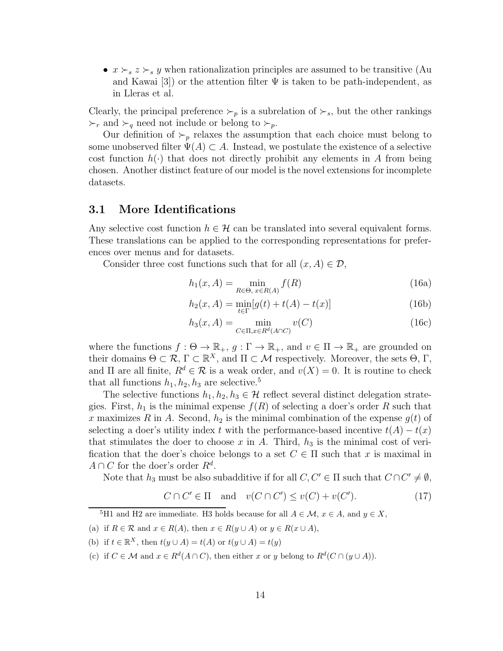•  $x \succ_s z \succ_s y$  when rationalization principles are assumed to be transitive (Au and Kawai [3]) or the attention filter  $\Psi$  is taken to be path-independent, as in Lleras et al.

Clearly, the principal preference  $\succ_p$  is a subrelation of  $\succ_s$ , but the other rankings  $\succ_r$  and  $\succ_q$  need not include or belong to  $\succ_p$ .

Our definition of  $\succ_p$  relaxes the assumption that each choice must belong to some unobserved filter  $\Psi(A) \subset A$ . Instead, we postulate the existence of a selective cost function  $h(\cdot)$  that does not directly prohibit any elements in A from being chosen. Another distinct feature of our model is the novel extensions for incomplete datasets.

### 3.1 More Identifications

Any selective cost function  $h \in \mathcal{H}$  can be translated into several equivalent forms. These translations can be applied to the corresponding representations for preferences over menus and for datasets.

Consider three cost functions such that for all  $(x, A) \in \mathcal{D}$ ,

$$
h_1(x, A) = \min_{R \in \Theta, x \in R(A)} f(R)
$$
 (16a)

$$
h_2(x, A) = \min_{t \in \Gamma} [g(t) + t(A) - t(x)]
$$
\n(16b)

$$
h_3(x, A) = \min_{C \in \Pi, x \in R^d(A \cap C)} v(C)
$$
\n(16c)

where the functions  $f : \Theta \to \mathbb{R}_+, g : \Gamma \to \mathbb{R}_+$ , and  $v \in \Pi \to \mathbb{R}_+$  are grounded on their domains  $\Theta \subset \mathcal{R}, \Gamma \subset \mathbb{R}^X$ , and  $\Pi \subset \mathcal{M}$  respectively. Moreover, the sets  $\Theta, \Gamma$ , and  $\Pi$  are all finite,  $R^d \in \mathcal{R}$  is a weak order, and  $v(X) = 0$ . It is routine to check that all functions  $h_1, h_2, h_3$  are selective.<sup>5</sup>

The selective functions  $h_1, h_2, h_3 \in \mathcal{H}$  reflect several distinct delegation strategies. First,  $h_1$  is the minimal expense  $f(R)$  of selecting a doer's order R such that x maximizes R in A. Second,  $h_2$  is the minimal combination of the expense  $g(t)$  of selecting a doer's utility index t with the performance-based incentive  $t(A) - t(x)$ that stimulates the doer to choose x in A. Third,  $h_3$  is the minimal cost of verification that the doer's choice belongs to a set  $C \in \Pi$  such that x is maximal in  $A \cap C$  for the doer's order  $R^d$ .

Note that  $h_3$  must be also subadditive if for all  $C, C' \in \Pi$  such that  $C \cap C' \neq \emptyset$ ,

$$
C \cap C' \in \Pi \quad \text{and} \quad v(C \cap C') \le v(C) + v(C'). \tag{17}
$$

<sup>5</sup>H1 and H2 are immediate. H3 holds because for all  $A \in \mathcal{M}$ ,  $x \in A$ , and  $y \in X$ ,

(a) if  $R \in \mathcal{R}$  and  $x \in R(A)$ , then  $x \in R(y \cup A)$  or  $y \in R(x \cup A)$ ,

(b) if  $t \in \mathbb{R}^X$ , then  $t(y \cup A) = t(A)$  or  $t(y \cup A) = t(y)$ 

(c) if  $C \in \mathcal{M}$  and  $x \in R^d(A \cap C)$ , then either x or y belong to  $R^d(C \cap (y \cup A))$ .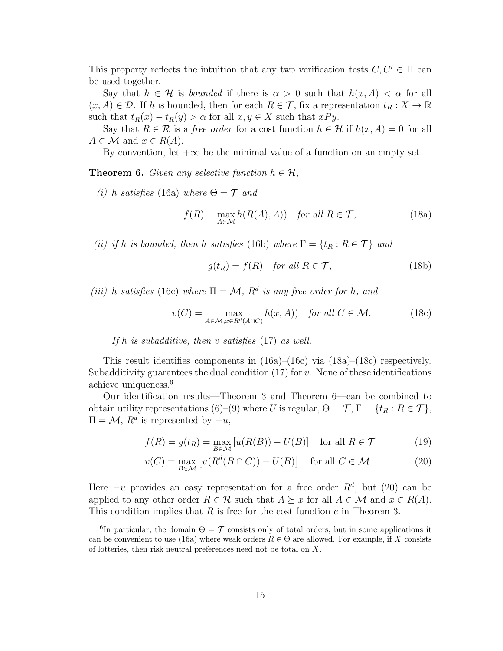This property reflects the intuition that any two verification tests  $C, C' \in \Pi$  can be used together.

Say that  $h \in \mathcal{H}$  is *bounded* if there is  $\alpha > 0$  such that  $h(x, A) < \alpha$  for all  $(x, A) \in \mathcal{D}$ . If h is bounded, then for each  $R \in \mathcal{T}$ , fix a representation  $t_R : X \to \mathbb{R}$ such that  $t_R(x) - t_R(y) > \alpha$  for all  $x, y \in X$  such that  $xPy$ .

Say that  $R \in \mathcal{R}$  is a *free order* for a cost function  $h \in \mathcal{H}$  if  $h(x, A) = 0$  for all  $A \in \mathcal{M}$  and  $x \in R(A)$ .

By convention, let  $+\infty$  be the minimal value of a function on an empty set.

**Theorem 6.** *Given any selective function*  $h \in \mathcal{H}$ ,

*(i)* h *satisfies* (16a) *where*  $\Theta = \mathcal{T}$  *and* 

$$
f(R) = \max_{A \in \mathcal{M}} h(R(A), A)) \quad \text{for all } R \in \mathcal{T}, \tag{18a}
$$

*(ii) if* h *is bounded, then* h *satisfies* (16b) *where*  $\Gamma = \{t_R : R \in \mathcal{T}\}\$  *and* 

$$
g(t_R) = f(R) \quad \text{for all } R \in \mathcal{T}, \tag{18b}
$$

*(iii)* h satisfies (16c) where  $\Pi = \mathcal{M}$ ,  $R^d$  is any free order for h, and

$$
v(C) = \max_{A \in \mathcal{M}, x \in R^d(A \cap C)} h(x, A) \quad \text{for all } C \in \mathcal{M}.
$$
 (18c)

*If* h *is subadditive, then* v *satisfies* (17) *as well.*

This result identifies components in  $(16a)$ – $(16c)$  via  $(18a)$ – $(18c)$  respectively. Subadditivity guarantees the dual condition  $(17)$  for v. None of these identifications achieve uniqueness.<sup>6</sup>

Our identification results—Theorem 3 and Theorem 6—can be combined to obtain utility representations (6)–(9) where U is regular,  $\Theta = \mathcal{T}, \Gamma = \{t_R : R \in \mathcal{T}\},\$  $\Pi = \mathcal{M}, R^d$  is represented by  $-u$ ,

$$
f(R) = g(t_R) = \max_{B \in \mathcal{M}} \left[ u(R(B)) - U(B) \right] \quad \text{for all } R \in \mathcal{T}
$$
 (19)

$$
v(C) = \max_{B \in \mathcal{M}} \left[ u(R^d(B \cap C)) - U(B) \right] \quad \text{for all } C \in \mathcal{M}.
$$
 (20)

Here  $-u$  provides an easy representation for a free order  $R<sup>d</sup>$ , but (20) can be applied to any other order  $R \in \mathcal{R}$  such that  $A \succeq x$  for all  $A \in \mathcal{M}$  and  $x \in R(A)$ . This condition implies that  $R$  is free for the cost function  $e$  in Theorem 3.

<sup>&</sup>lt;sup>6</sup>In particular, the domain  $\Theta = \mathcal{T}$  consists only of total orders, but in some applications it can be convenient to use (16a) where weak orders  $R \in \Theta$  are allowed. For example, if X consists of lotteries, then risk neutral preferences need not be total on X.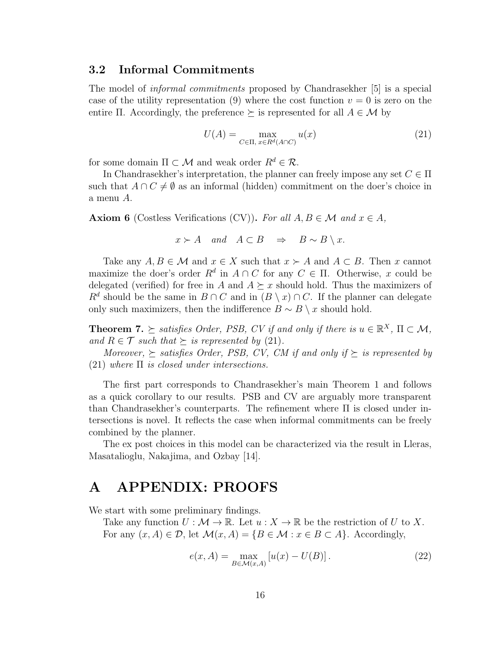### 3.2 Informal Commitments

The model of *informal commitments* proposed by Chandrasekher [5] is a special case of the utility representation (9) where the cost function  $v = 0$  is zero on the entire Π. Accordingly, the preference  $\succeq$  is represented for all  $A \in \mathcal{M}$  by

$$
U(A) = \max_{C \in \Pi, x \in R^d(A \cap C)} u(x)
$$
\n(21)

for some domain  $\Pi \subset \mathcal{M}$  and weak order  $R^d \in \mathcal{R}$ .

In Chandrasekher's interpretation, the planner can freely impose any set  $C \in \Pi$ such that  $A \cap C \neq \emptyset$  as an informal (hidden) commitment on the doer's choice in a menu A.

**Axiom 6** (Costless Verifications (CV)). For all  $A, B \in \mathcal{M}$  and  $x \in A$ ,

$$
x \succ A
$$
 and  $A \subset B$   $\Rightarrow$   $B \sim B \setminus x$ .

Take any  $A, B \in \mathcal{M}$  and  $x \in X$  such that  $x \succ A$  and  $A \subset B$ . Then x cannot maximize the doer's order  $R^d$  in  $A \cap C$  for any  $C \in \Pi$ . Otherwise, x could be delegated (verified) for free in A and  $A \succeq x$  should hold. Thus the maximizers of  $R^d$  should be the same in  $B \cap C$  and in  $(B \setminus x) \cap C$ . If the planner can delegate only such maximizers, then the indifference  $B \sim B \setminus x$  should hold.

**Theorem 7.**  $\succeq$  satisfies Order, PSB, CV if and only if there is  $u \in \mathbb{R}^X$ ,  $\Pi \subset \mathcal{M}$ , *and*  $R \in \mathcal{T}$  *such that*  $\succeq$  *is represented by* (21)*.* 

*Moreover,*  $\succ$  *satisfies Order, PSB, CV, CM if and only if*  $\succ$  *is represented by* (21) *where* Π *is closed under intersections.*

The first part corresponds to Chandrasekher's main Theorem 1 and follows as a quick corollary to our results. PSB and CV are arguably more transparent than Chandrasekher's counterparts. The refinement where Π is closed under intersections is novel. It reflects the case when informal commitments can be freely combined by the planner.

The ex post choices in this model can be characterized via the result in Lleras, Masatalioglu, Nakajima, and Ozbay [14].

# A APPENDIX: PROOFS

We start with some preliminary findings.

Take any function  $U : \mathcal{M} \to \mathbb{R}$ . Let  $u : X \to \mathbb{R}$  be the restriction of U to X. For any  $(x, A) \in \mathcal{D}$ , let  $\mathcal{M}(x, A) = \{B \in \mathcal{M} : x \in B \subset A\}$ . Accordingly,

$$
e(x, A) = \max_{B \in \mathcal{M}(x, A)} [u(x) - U(B)].
$$
 (22)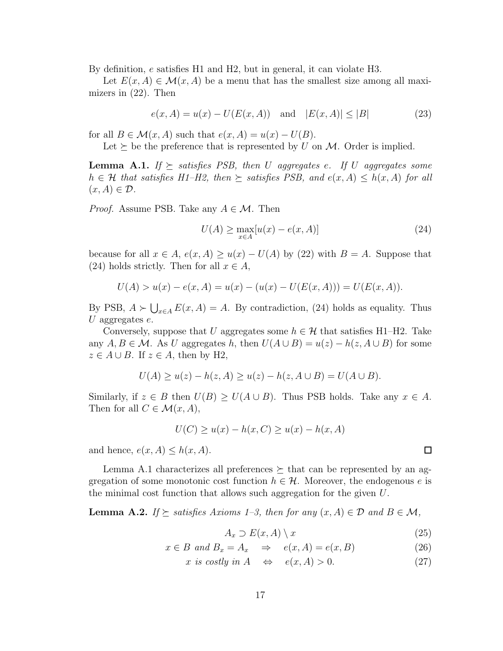By definition, e satisfies H1 and H2, but in general, it can violate H3.

Let  $E(x, A) \in \mathcal{M}(x, A)$  be a menu that has the smallest size among all maximizers in (22). Then

$$
e(x, A) = u(x) - U(E(x, A))
$$
 and  $|E(x, A)| \le |B|$  (23)

for all  $B \in \mathcal{M}(x, A)$  such that  $e(x, A) = u(x) - U(B)$ .

Let  $\succ$  be the preference that is represented by U on M. Order is implied.

**Lemma A.1.** *If*  $\succeq$  *satisfies PSB*, *then U aggregates e. If U aggregates some*  $h \in \mathcal{H}$  that satisfies H1–H2, then  $\succeq$  satisfies PSB, and  $e(x, A) \leq h(x, A)$  for all  $(x, A) \in \mathcal{D}$ .

*Proof.* Assume PSB. Take any  $A \in \mathcal{M}$ . Then

$$
U(A) \ge \max_{x \in A} [u(x) - e(x, A)] \tag{24}
$$

because for all  $x \in A$ ,  $e(x, A) \ge u(x) - U(A)$  by (22) with  $B = A$ . Suppose that (24) holds strictly. Then for all  $x \in A$ ,

$$
U(A) > u(x) - e(x, A) = u(x) - (u(x) - U(E(x, A))) = U(E(x, A)).
$$

By PSB,  $A \succ \bigcup_{x \in A} E(x, A) = A$ . By contradiction, (24) holds as equality. Thus U aggregates  $e$ .

Conversely, suppose that U aggregates some  $h \in \mathcal{H}$  that satisfies H1–H2. Take any  $A, B \in \mathcal{M}$ . As U aggregates h, then  $U(A \cup B) = u(z) - h(z, A \cup B)$  for some  $z \in A \cup B$ . If  $z \in A$ , then by H2,

$$
U(A) \ge u(z) - h(z, A) \ge u(z) - h(z, A \cup B) = U(A \cup B).
$$

Similarly, if  $z \in B$  then  $U(B) \geq U(A \cup B)$ . Thus PSB holds. Take any  $x \in A$ . Then for all  $C \in \mathcal{M}(x, A)$ ,

$$
U(C) \ge u(x) - h(x, C) \ge u(x) - h(x, A)
$$

and hence,  $e(x, A) \leq h(x, A)$ .

Lemma A.1 characterizes all preferences  $\succeq$  that can be represented by an aggregation of some monotonic cost function  $h \in \mathcal{H}$ . Moreover, the endogenous e is the minimal cost function that allows such aggregation for the given  $U$ .

**Lemma A.2.** *If*  $\succeq$  *satisfies Axioms 1–3, then for any*  $(x, A) \in \mathcal{D}$  *and*  $B \in \mathcal{M}$ *,* 

$$
A_x \supset E(x, A) \setminus x \tag{25}
$$

$$
x \in B \text{ and } B_x = A_x \Rightarrow e(x, A) = e(x, B) \tag{26}
$$

$$
x \text{ is costly in } A \quad \Leftrightarrow \quad e(x, A) > 0. \tag{27}
$$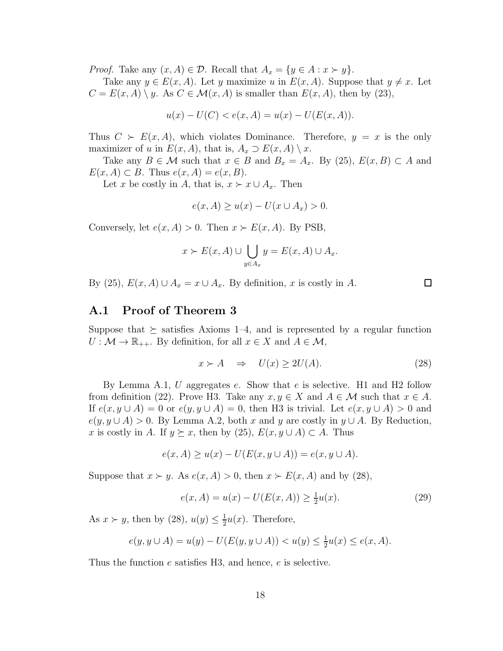*Proof.* Take any  $(x, A) \in \mathcal{D}$ . Recall that  $A_x = \{y \in A : x \succ y\}.$ 

Take any  $y \in E(x, A)$ . Let y maximize u in  $E(x, A)$ . Suppose that  $y \neq x$ . Let  $C = E(x, A) \setminus y$ . As  $C \in \mathcal{M}(x, A)$  is smaller than  $E(x, A)$ , then by (23),

$$
u(x) - U(C) < e(x, A) = u(x) - U(E(x, A)).
$$

Thus  $C \succ E(x, A)$ , which violates Dominance. Therefore,  $y = x$  is the only maximizer of u in  $E(x, A)$ , that is,  $A_x \supset E(x, A) \setminus x$ .

Take any  $B \in \mathcal{M}$  such that  $x \in B$  and  $B_x = A_x$ . By (25),  $E(x, B) \subset A$  and  $E(x, A) \subset B$ . Thus  $e(x, A) = e(x, B)$ .

Let x be costly in A, that is,  $x \succ x \cup A_x$ . Then

$$
e(x, A) \ge u(x) - U(x \cup A_x) > 0.
$$

Conversely, let  $e(x, A) > 0$ . Then  $x \succ E(x, A)$ . By PSB,

$$
x \succ E(x, A) \cup \bigcup_{y \in A_x} y = E(x, A) \cup A_x.
$$

By (25),  $E(x, A) \cup A_x = x \cup A_x$ . By definition, x is costly in A.

### A.1 Proof of Theorem 3

Suppose that  $\succeq$  satisfies Axioms 1–4, and is represented by a regular function  $U: \mathcal{M} \to \mathbb{R}_{++}$ . By definition, for all  $x \in X$  and  $A \in \mathcal{M}$ ,

$$
x \succ A \quad \Rightarrow \quad U(x) \ge 2U(A). \tag{28}
$$

 $\Box$ 

By Lemma A.1,  $U$  aggregates  $e$ . Show that  $e$  is selective. H1 and H2 follow from definition (22). Prove H3. Take any  $x, y \in X$  and  $A \in \mathcal{M}$  such that  $x \in A$ . If  $e(x, y \cup A) = 0$  or  $e(y, y \cup A) = 0$ , then H3 is trivial. Let  $e(x, y \cup A) > 0$  and  $e(y, y \cup A) > 0$ . By Lemma A.2, both x and y are costly in  $y \cup A$ . By Reduction, x is costly in A. If  $y \succeq x$ , then by (25),  $E(x, y \cup A) \subset A$ . Thus

$$
e(x, A) \ge u(x) - U(E(x, y \cup A)) = e(x, y \cup A).
$$

Suppose that  $x \succ y$ . As  $e(x, A) > 0$ , then  $x \succ E(x, A)$  and by (28),

$$
e(x, A) = u(x) - U(E(x, A)) \ge \frac{1}{2}u(x).
$$
 (29)

As  $x \succ y$ , then by  $(28)$ ,  $u(y) \leq \frac{1}{2}$  $\frac{1}{2}u(x)$ . Therefore,

$$
e(y, y \cup A) = u(y) - U(E(y, y \cup A)) < u(y) \le \frac{1}{2}u(x) \le e(x, A).
$$

Thus the function e satisfies H3, and hence, e is selective.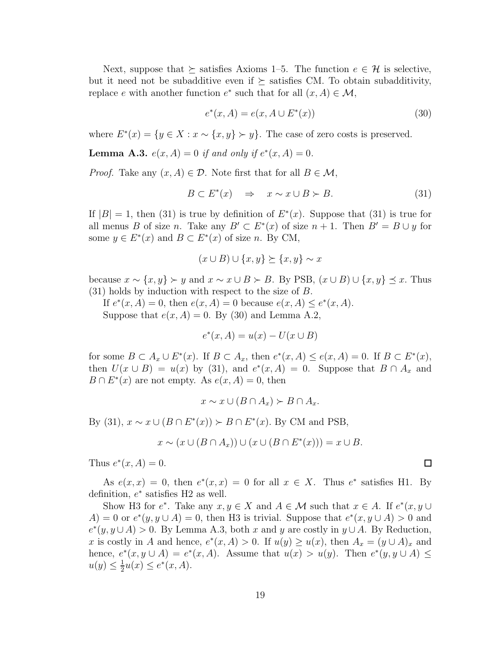Next, suppose that  $\succeq$  satisfies Axioms 1–5. The function  $e \in \mathcal{H}$  is selective, but it need not be subadditive even if  $\succeq$  satisfies CM. To obtain subadditivity, replace e with another function  $e^*$  such that for all  $(x, A) \in \mathcal{M}$ ,

$$
e^*(x, A) = e(x, A \cup E^*(x))
$$
\n(30)

where  $E^*(x) = \{y \in X : x \sim \{x, y\} \succ y\}$ . The case of zero costs is preserved.

**Lemma A.3.**  $e(x, A) = 0$  if and only if  $e^*(x, A) = 0$ .

*Proof.* Take any  $(x, A) \in \mathcal{D}$ . Note first that for all  $B \in \mathcal{M}$ ,

$$
B \subset E^*(x) \quad \Rightarrow \quad x \sim x \cup B \succ B. \tag{31}
$$

If  $|B| = 1$ , then (31) is true by definition of  $E^*(x)$ . Suppose that (31) is true for all menus B of size n. Take any  $B' \subset E^*(x)$  of size  $n + 1$ . Then  $B' = B \cup y$  for some  $y \in E^*(x)$  and  $B \subset E^*(x)$  of size *n*. By CM,

$$
(x \cup B) \cup \{x, y\} \succeq \{x, y\} \sim x
$$

because  $x \sim \{x, y\} \succ y$  and  $x \sim x \cup B \succ B$ . By PSB,  $(x \cup B) \cup \{x, y\} \preceq x$ . Thus (31) holds by induction with respect to the size of B.

If  $e^*(x, A) = 0$ , then  $e(x, A) = 0$  because  $e(x, A) \le e^*(x, A)$ . Suppose that  $e(x, A) = 0$ . By (30) and Lemma A.2,

$$
e^*(x, A) = u(x) - U(x \cup B)
$$

for some  $B \subset A_x \cup E^*(x)$ . If  $B \subset A_x$ , then  $e^*(x, A) \le e(x, A) = 0$ . If  $B \subset E^*(x)$ , then  $U(x \cup B) = u(x)$  by (31), and  $e^*(x, A) = 0$ . Suppose that  $B \cap A_x$  and  $B \cap E^*(x)$  are not empty. As  $e(x, A) = 0$ , then

$$
x \sim x \cup (B \cap A_x) \succ B \cap A_x.
$$

By (31),  $x \sim x \cup (B \cap E^*(x)) \succ B \cap E^*(x)$ . By CM and PSB,

$$
x \sim (x \cup (B \cap A_x)) \cup (x \cup (B \cap E^*(x))) = x \cup B.
$$

Thus  $e^*(x, A) = 0$ .

As  $e(x, x) = 0$ , then  $e^*(x, x) = 0$  for all  $x \in X$ . Thus  $e^*$  satisfies H1. By definition,  $e^*$  satisfies H2 as well.

Show H3 for  $e^*$ . Take any  $x, y \in X$  and  $A \in \mathcal{M}$  such that  $x \in A$ . If  $e^*(x, y \cup$  $A) = 0$  or  $e^*(y, y \cup A) = 0$ , then H3 is trivial. Suppose that  $e^*(x, y \cup A) > 0$  and  $e^*(y, y \cup A) > 0$ . By Lemma A.3, both x and y are costly in  $y \cup A$ . By Reduction, x is costly in A and hence,  $e^*(x, A) > 0$ . If  $u(y) \ge u(x)$ , then  $A_x = (y \cup A)_x$  and hence,  $e^*(x, y \cup A) = e^*(x, A)$ . Assume that  $u(x) > u(y)$ . Then  $e^*(y, y \cup A) \le$  $u(y) \leq \frac{1}{2}$  $\frac{1}{2}u(x) \leq e^*(x, A).$ 

 $\Box$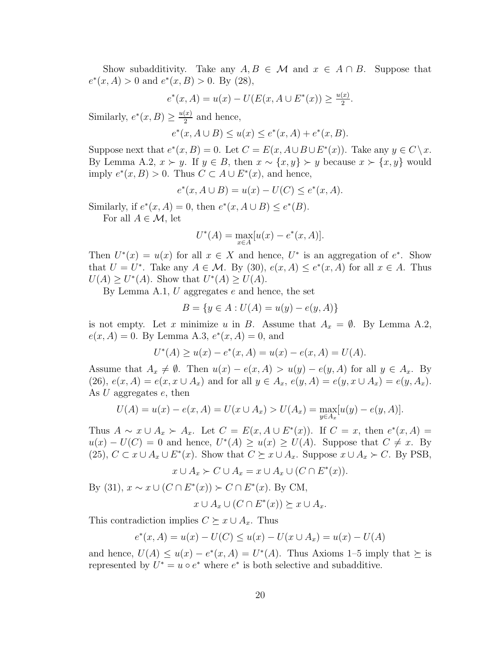Show subadditivity. Take any  $A, B \in \mathcal{M}$  and  $x \in A \cap B$ . Suppose that  $e^*(x, A) > 0$  and  $e^*(x, B) > 0$ . By (28),

$$
e^*(x, A) = u(x) - U(E(x, A \cup E^*(x))) \ge \frac{u(x)}{2}.
$$

Similarly,  $e^*(x, B) \geq \frac{u(x)}{2}$  $\frac{(x)}{2}$  and hence,

 $e^*(x, A \cup B) \le u(x) \le e^*(x, A) + e^*(x, B).$ 

Suppose next that  $e^*(x, B) = 0$ . Let  $C = E(x, A \cup B \cup E^*(x))$ . Take any  $y \in C \setminus x$ . By Lemma A.2,  $x \succ y$ . If  $y \in B$ , then  $x \sim \{x, y\} \succ y$  because  $x \succ \{x, y\}$  would imply  $e^*(x, B) > 0$ . Thus  $C \subset A \cup E^*(x)$ , and hence,

$$
e^*(x, A \cup B) = u(x) - U(C) \le e^*(x, A).
$$

Similarly, if  $e^*(x, A) = 0$ , then  $e^*(x, A \cup B) \le e^*(B)$ .

For all  $A \in \mathcal{M}$ , let

$$
U^*(A) = \max_{x \in A} [u(x) - e^*(x, A)].
$$

Then  $U^*(x) = u(x)$  for all  $x \in X$  and hence,  $U^*$  is an aggregation of  $e^*$ . Show that  $U = U^*$ . Take any  $A \in \mathcal{M}$ . By (30),  $e(x, A) \leq e^*(x, A)$  for all  $x \in A$ . Thus  $U(A) \geq U^*(A)$ . Show that  $U^*(A) \geq U(A)$ .

By Lemma A.1,  $U$  aggregates  $e$  and hence, the set

$$
B = \{ y \in A : U(A) = u(y) - e(y, A) \}
$$

is not empty. Let x minimize u in B. Assume that  $A_x = \emptyset$ . By Lemma A.2,  $e(x, A) = 0$ . By Lemma A.3,  $e^*(x, A) = 0$ , and

$$
U^*(A) \ge u(x) - e^*(x, A) = u(x) - e(x, A) = U(A).
$$

Assume that  $A_x \neq \emptyset$ . Then  $u(x) - e(x, A) > u(y) - e(y, A)$  for all  $y \in A_x$ . By (26),  $e(x, A) = e(x, x \cup A_x)$  and for all  $y \in A_x$ ,  $e(y, A) = e(y, x \cup A_x) = e(y, A_x)$ . As  $U$  aggregates  $e$ , then

$$
U(A) = u(x) - e(x, A) = U(x \cup A_x) > U(A_x) = \max_{y \in A_x} [u(y) - e(y, A)].
$$

Thus  $A \sim x \cup A_x \succ A_x$ . Let  $C = E(x, A \cup E^*(x))$ . If  $C = x$ , then  $e^*(x, A) =$  $u(x) - U(C) = 0$  and hence,  $U^*(A) \ge u(x) \ge U(A)$ . Suppose that  $C \ne x$ . By (25),  $C \subset x \cup A_x \cup E^*(x)$ . Show that  $C \succeq x \cup A_x$ . Suppose  $x \cup A_x \succ C$ . By PSB,

$$
x \cup A_x \succ C \cup A_x = x \cup A_x \cup (C \cap E^*(x)).
$$

By (31),  $x \sim x \cup (C \cap E^*(x)) \succ C \cap E^*(x)$ . By CM,

$$
x \cup A_x \cup (C \cap E^*(x)) \succeq x \cup A_x.
$$

This contradiction implies  $C \succeq x \cup A_x$ . Thus

$$
e^*(x, A) = u(x) - U(C) \le u(x) - U(x \cup A_x) = u(x) - U(A)
$$

and hence,  $U(A) \leq u(x) - e^*(x, A) = U^*(A)$ . Thus Axioms 1-5 imply that  $\succeq$  is represented by  $U^* = u \circ e^*$  where  $e^*$  is both selective and subadditive.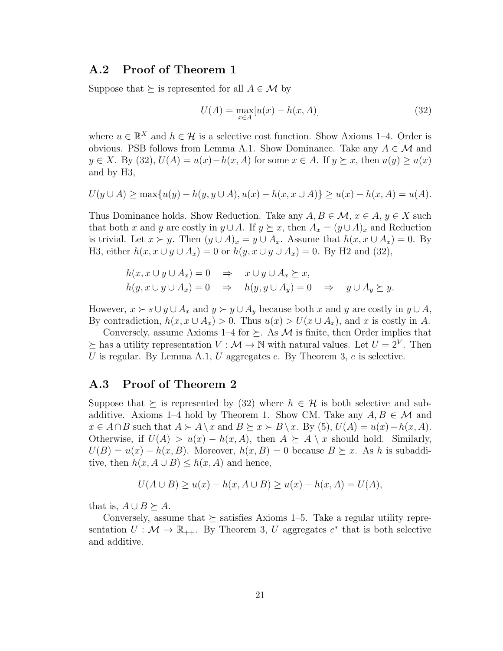### A.2 Proof of Theorem 1

Suppose that  $\succeq$  is represented for all  $A \in \mathcal{M}$  by

$$
U(A) = \max_{x \in A} [u(x) - h(x, A)]
$$
\n(32)

where  $u \in \mathbb{R}^X$  and  $h \in \mathcal{H}$  is a selective cost function. Show Axioms 1-4. Order is obvious. PSB follows from Lemma A.1. Show Dominance. Take any  $A \in \mathcal{M}$  and  $y \in X$ . By (32),  $U(A) = u(x) - h(x, A)$  for some  $x \in A$ . If  $y \succeq x$ , then  $u(y) \geq u(x)$ and by H3,

$$
U(y \cup A) \ge \max\{u(y) - h(y, y \cup A), u(x) - h(x, x \cup A)\} \ge u(x) - h(x, A) = u(A).
$$

Thus Dominance holds. Show Reduction. Take any  $A, B \in \mathcal{M}$ ,  $x \in A$ ,  $y \in X$  such that both x and y are costly in  $y \cup A$ . If  $y \succeq x$ , then  $A_x = (y \cup A)_x$  and Reduction is trivial. Let  $x \succ y$ . Then  $(y \cup A)_x = y \cup A_x$ . Assume that  $h(x, x \cup A_x) = 0$ . By H3, either  $h(x, x \cup y \cup A_x) = 0$  or  $h(y, x \cup y \cup A_x) = 0$ . By H2 and (32),

$$
h(x, x \cup y \cup A_x) = 0 \Rightarrow x \cup y \cup A_x \succeq x,
$$
  
\n
$$
h(y, x \cup y \cup A_x) = 0 \Rightarrow h(y, y \cup A_y) = 0 \Rightarrow y \cup A_y \succeq y.
$$

However,  $x \succ s \cup y \cup A_x$  and  $y \succ y \cup A_y$  because both x and y are costly in  $y \cup A$ , By contradiction,  $h(x, x \cup A_x) > 0$ . Thus  $u(x) > U(x \cup A_x)$ , and x is costly in A.

Conversely, assume Axioms 1–4 for  $\succeq$ . As M is finite, then Order implies that  $\succeq$  has a utility representation  $V : \mathcal{M} \to \mathbb{N}$  with natural values. Let  $U = 2^V$ . Then U is regular. By Lemma A.1, U aggregates e. By Theorem 3, e is selective.

### A.3 Proof of Theorem 2

Suppose that  $\succeq$  is represented by (32) where  $h \in \mathcal{H}$  is both selective and subadditive. Axioms 1–4 hold by Theorem 1. Show CM. Take any  $A, B \in \mathcal{M}$  and  $x \in A \cap B$  such that  $A \succ A \setminus x$  and  $B \succeq x \succ B \setminus x$ . By (5),  $U(A) = u(x) - h(x, A)$ . Otherwise, if  $U(A) > u(x) - h(x, A)$ , then  $A \succeq A \setminus x$  should hold. Similarly,  $U(B) = u(x) - h(x, B)$ . Moreover,  $h(x, B) = 0$  because  $B \succeq x$ . As h is subadditive, then  $h(x, A \cup B) \leq h(x, A)$  and hence,

$$
U(A \cup B) \ge u(x) - h(x, A \cup B) \ge u(x) - h(x, A) = U(A),
$$

that is,  $A \cup B \succeq A$ .

Conversely, assume that  $\succeq$  satisfies Axioms 1–5. Take a regular utility representation  $U: \mathcal{M} \to \mathbb{R}_{++}$ . By Theorem 3, U aggregates  $e^*$  that is both selective and additive.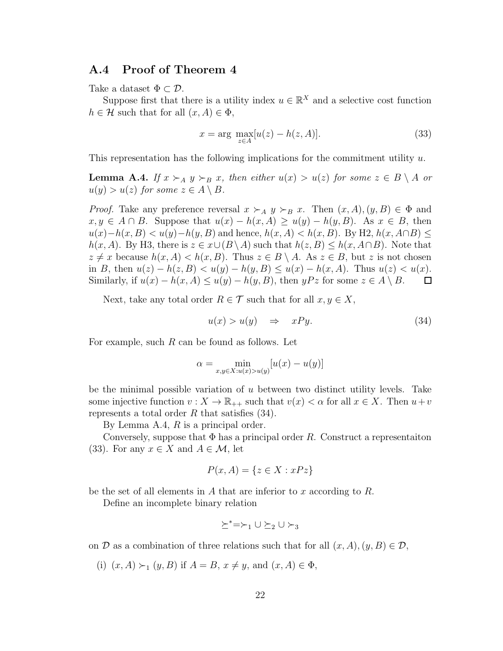### A.4 Proof of Theorem 4

Take a dataset  $\Phi \subset \mathcal{D}$ .

Suppose first that there is a utility index  $u \in \mathbb{R}^X$  and a selective cost function  $h \in \mathcal{H}$  such that for all  $(x, A) \in \Phi$ ,

$$
x = \arg \max_{z \in A} [u(z) - h(z, A)]. \tag{33}
$$

This representation has the following implications for the commitment utility  $u$ .

**Lemma A.4.** *If*  $x \succ_A y \succ_B x$ , then either  $u(x) > u(z)$  for some  $z \in B \setminus A$  or  $u(y) > u(z)$  for some  $z \in A \setminus B$ .

*Proof.* Take any preference reversal  $x \succ_A y \succ_B x$ . Then  $(x, A), (y, B) \in \Phi$  and  $x, y \in A \cap B$ . Suppose that  $u(x) - h(x, A) \ge u(y) - h(y, B)$ . As  $x \in B$ , then  $u(x)-h(x, B) < u(y)-h(y, B)$  and hence,  $h(x, A) < h(x, B)$ . By H2,  $h(x, A\cap B)$  $h(x, A)$ . By H3, there is  $z \in x \cup (B \setminus A)$  such that  $h(z, B) \leq h(x, A \cap B)$ . Note that  $z \neq x$  because  $h(x, A) < h(x, B)$ . Thus  $z \in B \setminus A$ . As  $z \in B$ , but z is not chosen in B, then  $u(z) - h(z, B) < u(y) - h(y, B) \le u(x) - h(x, A)$ . Thus  $u(z) < u(x)$ . Similarly, if  $u(x) - h(x, A) \le u(y) - h(y, B)$ , then  $yPz$  for some  $z \in A \setminus B$ .  $\Box$ 

Next, take any total order  $R \in \mathcal{T}$  such that for all  $x, y \in X$ ,

$$
u(x) > u(y) \quad \Rightarrow \quad xPy. \tag{34}
$$

For example, such  $R$  can be found as follows. Let

$$
\alpha = \min_{x,y \in X: u(x) > u(y)} [u(x) - u(y)]
$$

be the minimal possible variation of u between two distinct utility levels. Take some injective function  $v: X \to \mathbb{R}_{++}$  such that  $v(x) < \alpha$  for all  $x \in X$ . Then  $u+v$ represents a total order  $R$  that satisfies (34).

By Lemma A.4,  $R$  is a principal order.

Conversely, suppose that  $\Phi$  has a principal order R. Construct a representation (33). For any  $x \in X$  and  $A \in \mathcal{M}$ , let

$$
P(x, A) = \{ z \in X : xPz \}
$$

be the set of all elements in A that are inferior to x according to  $R$ .

Define an incomplete binary relation

$$
\succeq^* = \succ_1 \cup \succeq_2 \cup \succ_3
$$

on D as a combination of three relations such that for all  $(x, A), (y, B) \in \mathcal{D}$ ,

(i)  $(x, A) \succ_1 (y, B)$  if  $A = B$ ,  $x \neq y$ , and  $(x, A) \in \Phi$ ,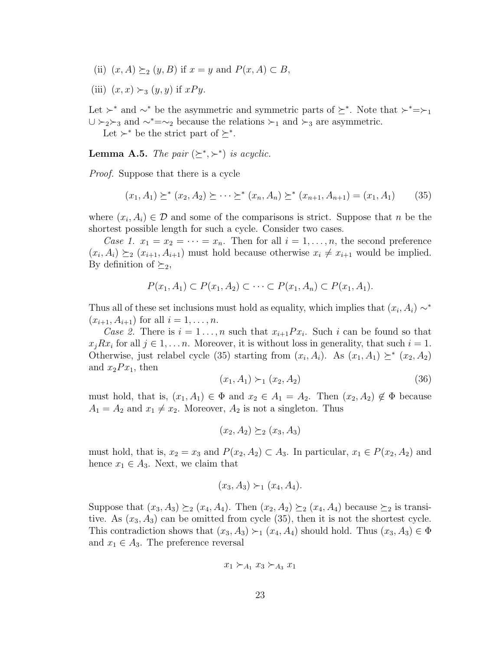- (ii)  $(x, A) \succeq_2 (y, B)$  if  $x = y$  and  $P(x, A) \subset B$ ,
- (iii)  $(x, x) \succ_3 (y, y)$  if  $xPy$ .

Let  $\succ^*$  and  $\sim^*$  be the asymmetric and symmetric parts of  $\succeq^*$ . Note that  $\succ^*=\succ_1$  $\cup \succ_2 \succ_3$  and  $\sim^*=\sim_2$  because the relations  $\succ_1$  and  $\succ_3$  are asymmetric.

Let  $\succ^*$  be the strict part of  $\succeq^*$ .

**Lemma A.5.** *The pair*  $(\succeq^*, \succeq^*)$  *is acyclic.* 

*Proof.* Suppose that there is a cycle

$$
(x_1, A_1) \succeq^* (x_2, A_2) \succeq \cdots \succeq^* (x_n, A_n) \succeq^* (x_{n+1}, A_{n+1}) = (x_1, A_1) \tag{35}
$$

where  $(x_i, A_i) \in \mathcal{D}$  and some of the comparisons is strict. Suppose that n be the shortest possible length for such a cycle. Consider two cases.

*Case 1.*  $x_1 = x_2 = \cdots = x_n$ . Then for all  $i = 1, \ldots, n$ , the second preference  $(x_i, A_i) \succeq_2 (x_{i+1}, A_{i+1})$  must hold because otherwise  $x_i \neq x_{i+1}$  would be implied. By definition of  $\succeq_2$ ,

$$
P(x_1, A_1) \subset P(x_1, A_2) \subset \cdots \subset P(x_1, A_n) \subset P(x_1, A_1).
$$

Thus all of these set inclusions must hold as equality, which implies that  $(x_i, A_i) \sim^*$  $(x_{i+1}, A_{i+1})$  for all  $i = 1, ..., n$ .

*Case 2.* There is  $i = 1 \ldots, n$  such that  $x_{i+1}Px_i$ . Such i can be found so that  $x_jRx_i$  for all  $j \in 1, \ldots n$ . Moreover, it is without loss in generality, that such  $i = 1$ . Otherwise, just relabel cycle (35) starting from  $(x_i, A_i)$ . As  $(x_1, A_1) \succeq^* (x_2, A_2)$ and  $x_2Px_1$ , then

$$
(x_1, A_1) \succ_1 (x_2, A_2) \tag{36}
$$

must hold, that is,  $(x_1, A_1) \in \Phi$  and  $x_2 \in A_1 = A_2$ . Then  $(x_2, A_2) \notin \Phi$  because  $A_1 = A_2$  and  $x_1 \neq x_2$ . Moreover,  $A_2$  is not a singleton. Thus

 $(x_2, A_2) \succ_2 (x_3, A_3)$ 

must hold, that is,  $x_2 = x_3$  and  $P(x_2, A_2) \subset A_3$ . In particular,  $x_1 \in P(x_2, A_2)$  and hence  $x_1 \in A_3$ . Next, we claim that

$$
(x_3, A_3) \succ_1 (x_4, A_4).
$$

Suppose that  $(x_3, A_3) \succeq_2 (x_4, A_4)$ . Then  $(x_2, A_2) \succeq_2 (x_4, A_4)$  because  $\succeq_2$  is transitive. As  $(x_3, A_3)$  can be omitted from cycle  $(35)$ , then it is not the shortest cycle. This contradiction shows that  $(x_3, A_3) \succ_1 (x_4, A_4)$  should hold. Thus  $(x_3, A_3) \in \Phi$ and  $x_1 \in A_3$ . The preference reversal

$$
x_1 \succ_{A_1} x_3 \succ_{A_3} x_1
$$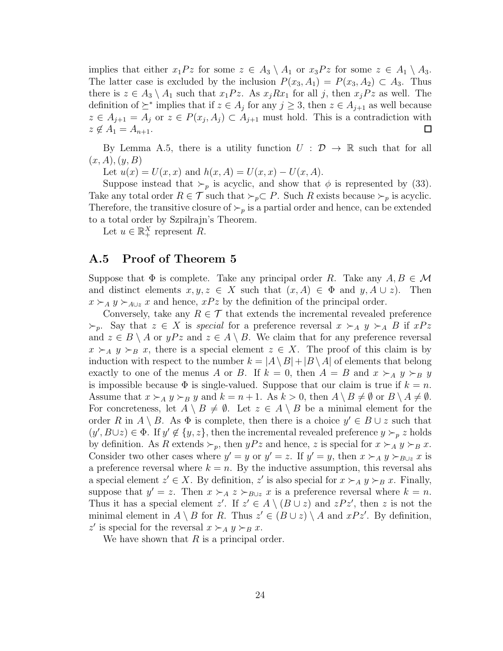implies that either  $x_1Pz$  for some  $z \in A_3 \setminus A_1$  or  $x_3Pz$  for some  $z \in A_1 \setminus A_3$ . The latter case is excluded by the inclusion  $P(x_3, A_1) = P(x_3, A_2) \subset A_3$ . Thus there is  $z \in A_3 \setminus A_1$  such that  $x_1Pz$ . As  $x_jRx_1$  for all j, then  $x_jPz$  as well. The definition of  $\succeq^*$  implies that if  $z \in A_j$  for any  $j \geq 3$ , then  $z \in A_{j+1}$  as well because  $z \in A_{j+1} = A_j$  or  $z \in P(x_j, A_j) \subset A_{j+1}$  must hold. This is a contradiction with  $z \notin A_1 = A_{n+1}.$  $\Box$ 

By Lemma A.5, there is a utility function  $U : \mathcal{D} \to \mathbb{R}$  such that for all  $(x, A), (y, B)$ 

Let  $u(x) = U(x, x)$  and  $h(x, A) = U(x, x) - U(x, A)$ .

Suppose instead that  $\succ_p$  is acyclic, and show that  $\phi$  is represented by (33). Take any total order  $R \in \mathcal{T}$  such that  $\succ_p \subset P$ . Such R exists because  $\succ_p$  is acyclic. Therefore, the transitive closure of  $\succ_p$  is a partial order and hence, can be extended to a total order by Szpilrajn's Theorem.

Let  $u \in \mathbb{R}_+^X$  represent R.

### A.5 Proof of Theorem 5

Suppose that  $\Phi$  is complete. Take any principal order R. Take any  $A, B \in \mathcal{M}$ and distinct elements  $x, y, z \in X$  such that  $(x, A) \in \Phi$  and  $y, A \cup z$ . Then  $x \succ_A y \succ_{A\cup z} x$  and hence,  $xPz$  by the definition of the principal order.

Conversely, take any  $R \in \mathcal{T}$  that extends the incremental revealed preference  $\succ_p$ . Say that  $z \in X$  is *special* for a preference reversal  $x \succ_A y \succ_A B$  if  $xPz$ and  $z \in B \setminus A$  or  $yPz$  and  $z \in A \setminus B$ . We claim that for any preference reversal  $x \succ_A y \succ_B x$ , there is a special element  $z \in X$ . The proof of this claim is by induction with respect to the number  $k = |A \setminus B| + |B \setminus A|$  of elements that belong exactly to one of the menus A or B. If  $k = 0$ , then  $A = B$  and  $x \succ_A y \succ_B y$ is impossible because  $\Phi$  is single-valued. Suppose that our claim is true if  $k = n$ . Assume that  $x \succ_A y \succ_B y$  and  $k = n + 1$ . As  $k > 0$ , then  $A \setminus B \neq \emptyset$  or  $B \setminus A \neq \emptyset$ . For concreteness, let  $A \setminus B \neq \emptyset$ . Let  $z \in A \setminus B$  be a minimal element for the order R in  $A \setminus B$ . As  $\Phi$  is complete, then there is a choice  $y' \in B \cup z$  such that  $(y', B \cup z) \in \Phi$ . If  $y' \notin \{y, z\}$ , then the incremental revealed preference  $y \succ_{p} z$  holds by definition. As R extends  $\succ_p$ , then  $yPz$  and hence, z is special for  $x \succ_A y \succ_B x$ . Consider two other cases where  $y' = y$  or  $y' = z$ . If  $y' = y$ , then  $x \succ_A y \succ_{B\cup z} x$  is a preference reversal where  $k = n$ . By the inductive assumption, this reversal ahs a special element  $z' \in X$ . By definition,  $z'$  is also special for  $x \succ_A y \succ_B x$ . Finally, suppose that  $y' = z$ . Then  $x \succ_A z \succ_{B\cup z} x$  is a preference reversal where  $k = n$ . Thus it has a special element z'. If  $z' \in A \setminus (B \cup z)$  and  $zPz'$ , then z is not the minimal element in  $A \setminus B$  for R. Thus  $z' \in (B \cup z) \setminus A$  and  $xPz'$ . By definition, z' is special for the reversal  $x \succ_A y \succ_B x$ .

We have shown that  $R$  is a principal order.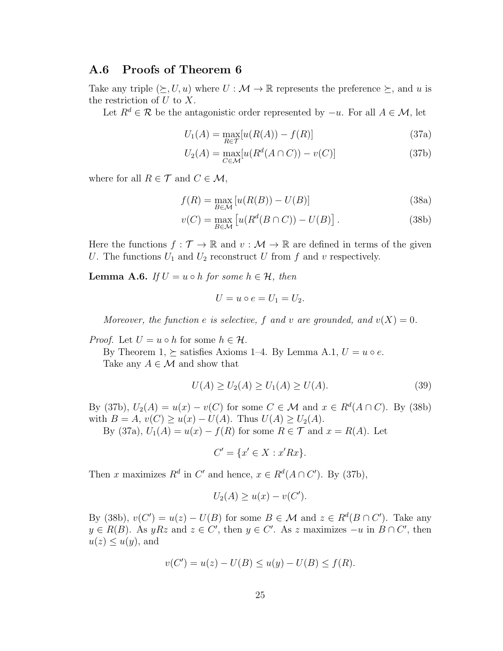### A.6 Proofs of Theorem 6

Take any triple  $(\succeq, U, u)$  where  $U : \mathcal{M} \to \mathbb{R}$  represents the preference  $\succeq$ , and u is the restriction of  $U$  to  $X$ .

Let  $R^d \in \mathcal{R}$  be the antagonistic order represented by  $-u$ . For all  $A \in \mathcal{M}$ , let

$$
U_1(A) = \max_{R \in \mathcal{T}} [u(R(A)) - f(R)] \tag{37a}
$$

$$
U_2(A) = \max_{C \in \mathcal{M}} [u(R^d(A \cap C)) - v(C)] \tag{37b}
$$

where for all  $R \in \mathcal{T}$  and  $C \in \mathcal{M}$ ,

$$
f(R) = \max_{B \in \mathcal{M}} \left[ u(R(B)) - U(B) \right] \tag{38a}
$$

$$
v(C) = \max_{B \in \mathcal{M}} \left[ u(R^d(B \cap C)) - U(B) \right]. \tag{38b}
$$

Here the functions  $f : \mathcal{T} \to \mathbb{R}$  and  $v : \mathcal{M} \to \mathbb{R}$  are defined in terms of the given U. The functions  $U_1$  and  $U_2$  reconstruct U from f and v respectively.

**Lemma A.6.** *If*  $U = u \circ h$  *for some*  $h \in \mathcal{H}$ *, then* 

$$
U = u \circ e = U_1 = U_2.
$$

*Moreover, the function e is selective,* f and v are grounded, and  $v(X) = 0$ .

*Proof.* Let  $U = u \circ h$  for some  $h \in \mathcal{H}$ .

By Theorem 1,  $\succeq$  satisfies Axioms 1–4. By Lemma A.1,  $U = u \circ e$ . Take any  $A \in \mathcal{M}$  and show that

$$
U(A) \ge U_2(A) \ge U_1(A) \ge U(A). \tag{39}
$$

By (37b),  $U_2(A) = u(x) - v(C)$  for some  $C \in \mathcal{M}$  and  $x \in R^d(A \cap C)$ . By (38b) with  $B = A$ ,  $v(C) \ge u(x) - U(A)$ . Thus  $U(A) \ge U_2(A)$ .

By (37a),  $U_1(A) = u(x) - f(R)$  for some  $R \in \mathcal{T}$  and  $x = R(A)$ . Let

$$
C' = \{x' \in X : x'Rx\}.
$$

Then x maximizes  $R^d$  in C' and hence,  $x \in R^d(A \cap C')$ . By (37b),

$$
U_2(A) \ge u(x) - v(C').
$$

By (38b),  $v(C') = u(z) - U(B)$  for some  $B \in \mathcal{M}$  and  $z \in R^d(B \cap C')$ . Take any  $y \in R(B)$ . As  $yRz$  and  $z \in C'$ , then  $y \in C'$ . As z maximizes  $-u$  in  $B \cap C'$ , then  $u(z) \leq u(y)$ , and

$$
v(C') = u(z) - U(B) \le u(y) - U(B) \le f(R).
$$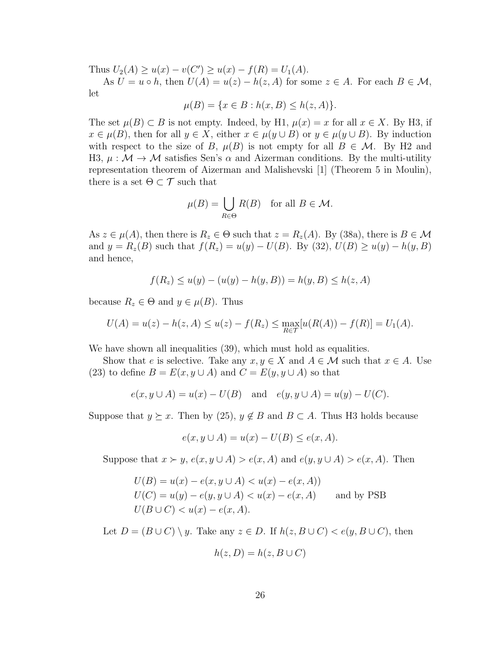Thus  $U_2(A) \ge u(x) - v(C') \ge u(x) - f(R) = U_1(A)$ .

As  $U = u \circ h$ , then  $U(A) = u(z) - h(z, A)$  for some  $z \in A$ . For each  $B \in \mathcal{M}$ , let

$$
\mu(B) = \{ x \in B : h(x, B) \le h(z, A) \}.
$$

The set  $\mu(B) \subset B$  is not empty. Indeed, by H1,  $\mu(x) = x$  for all  $x \in X$ . By H3, if  $x \in \mu(B)$ , then for all  $y \in X$ , either  $x \in \mu(y \cup B)$  or  $y \in \mu(y \cup B)$ . By induction with respect to the size of B,  $\mu(B)$  is not empty for all  $B \in \mathcal{M}$ . By H2 and H3,  $\mu : \mathcal{M} \to \mathcal{M}$  satisfies Sen's  $\alpha$  and Aizerman conditions. By the multi-utility representation theorem of Aizerman and Malishevski [1] (Theorem 5 in Moulin), there is a set  $\Theta \subset \mathcal{T}$  such that

$$
\mu(B) = \bigcup_{R \in \Theta} R(B) \quad \text{for all } B \in \mathcal{M}.
$$

As  $z \in \mu(A)$ , then there is  $R_z \in \Theta$  such that  $z = R_z(A)$ . By (38a), there is  $B \in \mathcal{M}$ and  $y = R_z(B)$  such that  $f(R_z) = u(y) - U(B)$ . By (32),  $U(B) \ge u(y) - h(y, B)$ and hence,

$$
f(R_z) \le u(y) - (u(y) - h(y, B)) = h(y, B) \le h(z, A)
$$

because  $R_z \in \Theta$  and  $y \in \mu(B)$ . Thus

$$
U(A) = u(z) - h(z, A) \le u(z) - f(R_z) \le \max_{R \in \mathcal{T}} [u(R(A)) - f(R)] = U_1(A).
$$

We have shown all inequalities  $(39)$ , which must hold as equalities.

Show that e is selective. Take any  $x, y \in X$  and  $A \in \mathcal{M}$  such that  $x \in A$ . Use (23) to define  $B = E(x, y \cup A)$  and  $C = E(y, y \cup A)$  so that

$$
e(x, y \cup A) = u(x) - U(B)
$$
 and  $e(y, y \cup A) = u(y) - U(C)$ .

Suppose that  $y \succeq x$ . Then by (25),  $y \notin B$  and  $B \subset A$ . Thus H3 holds because

$$
e(x, y \cup A) = u(x) - U(B) \le e(x, A).
$$

Suppose that  $x \succ y$ ,  $e(x, y \cup A) > e(x, A)$  and  $e(y, y \cup A) > e(x, A)$ . Then

$$
U(B) = u(x) - e(x, y \cup A) < u(x) - e(x, A)
$$
\n
$$
U(C) = u(y) - e(y, y \cup A) < u(x) - e(x, A) \quad \text{and by PSB}
$$
\n
$$
U(B \cup C) < u(x) - e(x, A).
$$

Let  $D = (B \cup C) \setminus y$ . Take any  $z \in D$ . If  $h(z, B \cup C) < e(y, B \cup C)$ , then

$$
h(z, D) = h(z, B \cup C)
$$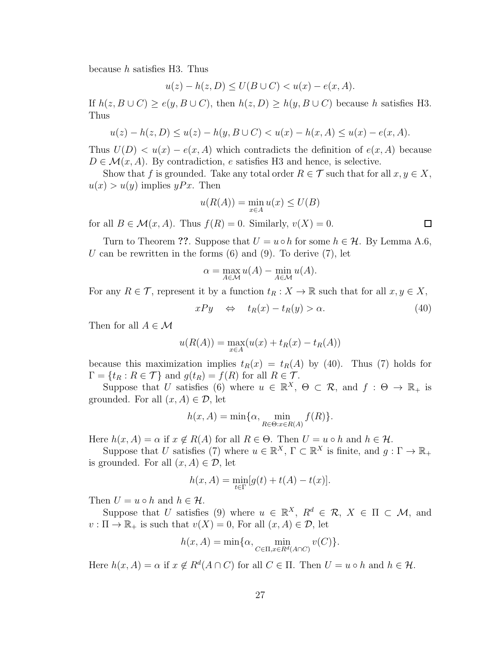because  $h$  satisfies H3. Thus

$$
u(z) - h(z, D) \le U(B \cup C) < u(x) - e(x, A).
$$

If  $h(z, B \cup C) \ge e(y, B \cup C)$ , then  $h(z, D) \ge h(y, B \cup C)$  because h satisfies H3. Thus

$$
u(z) - h(z, D) \le u(z) - h(y, B \cup C) < u(x) - h(x, A) \le u(x) - e(x, A).
$$

Thus  $U(D) < u(x) - e(x, A)$  which contradicts the definition of  $e(x, A)$  because  $D \in \mathcal{M}(x, A)$ . By contradiction, e satisfies H3 and hence, is selective.

Show that f is grounded. Take any total order  $R \in \mathcal{T}$  such that for all  $x, y \in X$ ,  $u(x) > u(y)$  implies yPx. Then

$$
u(R(A)) = \min_{x \in A} u(x) \le U(B)
$$

for all  $B \in \mathcal{M}(x, A)$ . Thus  $f(R) = 0$ . Similarly,  $v(X) = 0$ .

Turn to Theorem ??. Suppose that  $U = u \circ h$  for some  $h \in \mathcal{H}$ . By Lemma A.6, U can be rewritten in the forms  $(6)$  and  $(9)$ . To derive  $(7)$ , let

$$
\alpha = \max_{A \in \mathcal{M}} u(A) - \min_{A \in \mathcal{M}} u(A).
$$

For any  $R \in \mathcal{T}$ , represent it by a function  $t_R : X \to \mathbb{R}$  such that for all  $x, y \in X$ ,

$$
xPy \quad \Leftrightarrow \quad t_R(x) - t_R(y) > \alpha. \tag{40}
$$

Then for all  $A \in \mathcal{M}$ 

$$
u(R(A)) = \max_{x \in A} (u(x) + t_R(x) - t_R(A))
$$

because this maximization implies  $t_R(x) = t_R(A)$  by (40). Thus (7) holds for  $\Gamma = \{t_R : R \in \mathcal{T}\}\$ and  $g(t_R) = f(R)$  for all  $R \in \mathcal{T}$ .

Suppose that U satisfies (6) where  $u \in \mathbb{R}^X$ ,  $\Theta \subset \mathcal{R}$ , and  $f : \Theta \to \mathbb{R}_+$  is grounded. For all  $(x, A) \in \mathcal{D}$ , let

$$
h(x, A) = \min\{\alpha, \min_{R \in \Theta: x \in R(A)} f(R)\}.
$$

Here  $h(x, A) = \alpha$  if  $x \notin R(A)$  for all  $R \in \Theta$ . Then  $U = u \circ h$  and  $h \in \mathcal{H}$ .

Suppose that U satisfies (7) where  $u \in \mathbb{R}^X$ ,  $\Gamma \subset \mathbb{R}^X$  is finite, and  $g: \Gamma \to \mathbb{R}_+$ is grounded. For all  $(x, A) \in \mathcal{D}$ , let

$$
h(x, A) = \min_{t \in \Gamma} [g(t) + t(A) - t(x)].
$$

Then  $U = u \circ h$  and  $h \in \mathcal{H}$ .

Suppose that U satisfies (9) where  $u \in \mathbb{R}^X$ ,  $R^d \in \mathcal{R}$ ,  $X \in \Pi \subset \mathcal{M}$ , and  $v : \Pi \to \mathbb{R}_+$  is such that  $v(X) = 0$ , For all  $(x, A) \in \mathcal{D}$ , let

$$
h(x, A) = \min\{\alpha, \min_{C \in \Pi, x \in R^d(A \cap C)} v(C)\}.
$$

Here  $h(x, A) = \alpha$  if  $x \notin R^d(A \cap C)$  for all  $C \in \Pi$ . Then  $U = u \circ h$  and  $h \in \mathcal{H}$ .

 $\Box$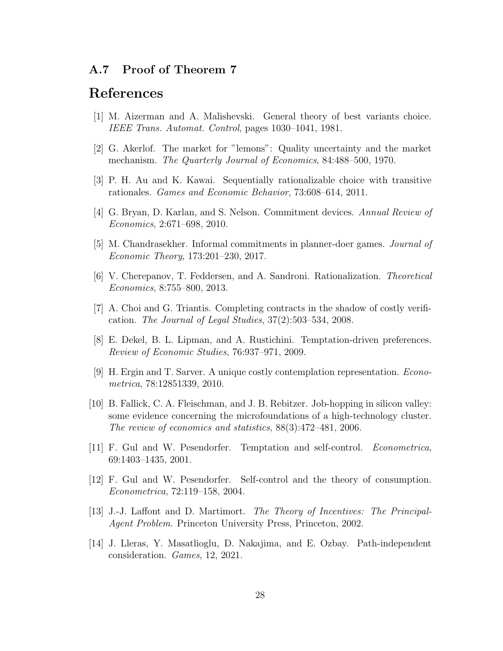### A.7 Proof of Theorem 7

## References

- [1] M. Aizerman and A. Malishevski. General theory of best variants choice. *IEEE Trans. Automat. Control*, pages 1030–1041, 1981.
- [2] G. Akerlof. The market for "lemons": Quality uncertainty and the market mechanism. *The Quarterly Journal of Economics*, 84:488–500, 1970.
- [3] P. H. Au and K. Kawai. Sequentially rationalizable choice with transitive rationales. *Games and Economic Behavior*, 73:608–614, 2011.
- [4] G. Bryan, D. Karlan, and S. Nelson. Commitment devices. *Annual Review of Economics*, 2:671–698, 2010.
- [5] M. Chandrasekher. Informal commitments in planner-doer games. *Journal of Economic Theory*, 173:201–230, 2017.
- [6] V. Cherepanov, T. Feddersen, and A. Sandroni. Rationalization. *Theoretical Economics*, 8:755–800, 2013.
- [7] A. Choi and G. Triantis. Completing contracts in the shadow of costly verification. *The Journal of Legal Studies*, 37(2):503–534, 2008.
- [8] E. Dekel, B. L. Lipman, and A. Rustichini. Temptation-driven preferences. *Review of Economic Studies*, 76:937–971, 2009.
- [9] H. Ergin and T. Sarver. A unique costly contemplation representation. *Econometrica*, 78:12851339, 2010.
- [10] B. Fallick, C. A. Fleischman, and J. B. Rebitzer. Job-hopping in silicon valley: some evidence concerning the microfoundations of a high-technology cluster. *The review of economics and statistics*, 88(3):472–481, 2006.
- [11] F. Gul and W. Pesendorfer. Temptation and self-control. *Econometrica*, 69:1403–1435, 2001.
- [12] F. Gul and W. Pesendorfer. Self-control and the theory of consumption. *Econometrica*, 72:119–158, 2004.
- [13] J.-J. Laffont and D. Martimort. *The Theory of Incentives: The Principal-Agent Problem*. Princeton University Press, Princeton, 2002.
- [14] J. Lleras, Y. Masatlioglu, D. Nakajima, and E. Ozbay. Path-independent consideration. *Games*, 12, 2021.